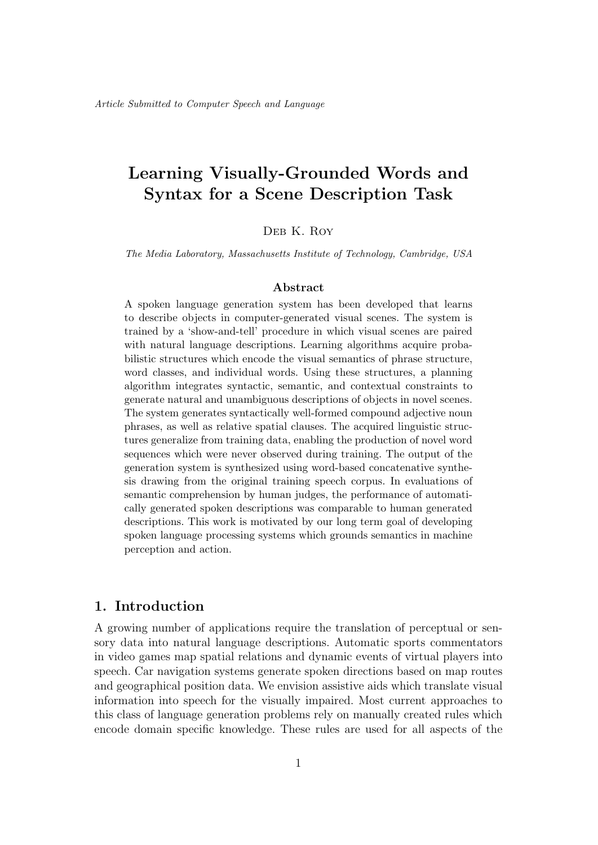# Learning Visually-Grounded Words and Syntax for a Scene Description Task

Deb K. Roy

The Media Laboratory, Massachusetts Institute of Technology, Cambridge, USA

#### Abstract

A spoken language generation system has been developed that learns to describe objects in computer-generated visual scenes. The system is trained by a 'show-and-tell' procedure in which visual scenes are paired with natural language descriptions. Learning algorithms acquire probabilistic structures which encode the visual semantics of phrase structure, word classes, and individual words. Using these structures, a planning algorithm integrates syntactic, semantic, and contextual constraints to generate natural and unambiguous descriptions of objects in novel scenes. The system generates syntactically well-formed compound adjective noun phrases, as well as relative spatial clauses. The acquired linguistic structures generalize from training data, enabling the production of novel word sequences which were never observed during training. The output of the generation system is synthesized using word-based concatenative synthesis drawing from the original training speech corpus. In evaluations of semantic comprehension by human judges, the performance of automatically generated spoken descriptions was comparable to human generated descriptions. This work is motivated by our long term goal of developing spoken language processing systems which grounds semantics in machine perception and action.

## 1. Introduction

A growing number of applications require the translation of perceptual or sensory data into natural language descriptions. Automatic sports commentators in video games map spatial relations and dynamic events of virtual players into speech. Car navigation systems generate spoken directions based on map routes and geographical position data. We envision assistive aids which translate visual information into speech for the visually impaired. Most current approaches to this class of language generation problems rely on manually created rules which encode domain specific knowledge. These rules are used for all aspects of the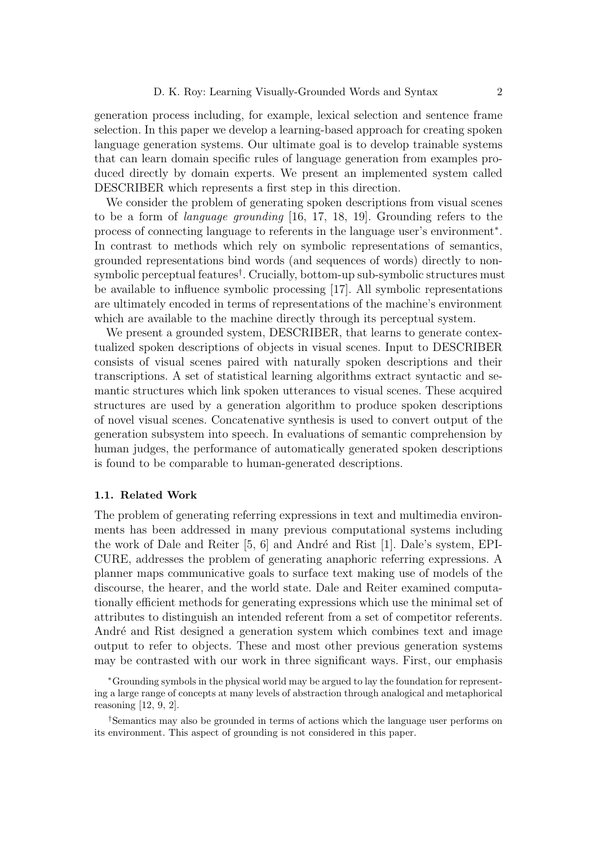generation process including, for example, lexical selection and sentence frame selection. In this paper we develop a learning-based approach for creating spoken language generation systems. Our ultimate goal is to develop trainable systems that can learn domain specific rules of language generation from examples produced directly by domain experts. We present an implemented system called DESCRIBER which represents a first step in this direction.

We consider the problem of generating spoken descriptions from visual scenes to be a form of language grounding [16, 17, 18, 19]. Grounding refers to the process of connecting language to referents in the language user's environment<sup>∗</sup> . In contrast to methods which rely on symbolic representations of semantics, grounded representations bind words (and sequences of words) directly to nonsymbolic perceptual features† . Crucially, bottom-up sub-symbolic structures must be available to influence symbolic processing [17]. All symbolic representations are ultimately encoded in terms of representations of the machine's environment which are available to the machine directly through its perceptual system.

We present a grounded system, DESCRIBER, that learns to generate contextualized spoken descriptions of objects in visual scenes. Input to DESCRIBER consists of visual scenes paired with naturally spoken descriptions and their transcriptions. A set of statistical learning algorithms extract syntactic and semantic structures which link spoken utterances to visual scenes. These acquired structures are used by a generation algorithm to produce spoken descriptions of novel visual scenes. Concatenative synthesis is used to convert output of the generation subsystem into speech. In evaluations of semantic comprehension by human judges, the performance of automatically generated spoken descriptions is found to be comparable to human-generated descriptions.

#### 1.1. Related Work

The problem of generating referring expressions in text and multimedia environments has been addressed in many previous computational systems including the work of Dale and Reiter  $[5, 6]$  and André and Rist  $[1]$ . Dale's system, EPI-CURE, addresses the problem of generating anaphoric referring expressions. A planner maps communicative goals to surface text making use of models of the discourse, the hearer, and the world state. Dale and Reiter examined computationally efficient methods for generating expressions which use the minimal set of attributes to distinguish an intended referent from a set of competitor referents. André and Rist designed a generation system which combines text and image output to refer to objects. These and most other previous generation systems may be contrasted with our work in three significant ways. First, our emphasis

<sup>∗</sup>Grounding symbols in the physical world may be argued to lay the foundation for representing a large range of concepts at many levels of abstraction through analogical and metaphorical reasoning [12, 9, 2].

†Semantics may also be grounded in terms of actions which the language user performs on its environment. This aspect of grounding is not considered in this paper.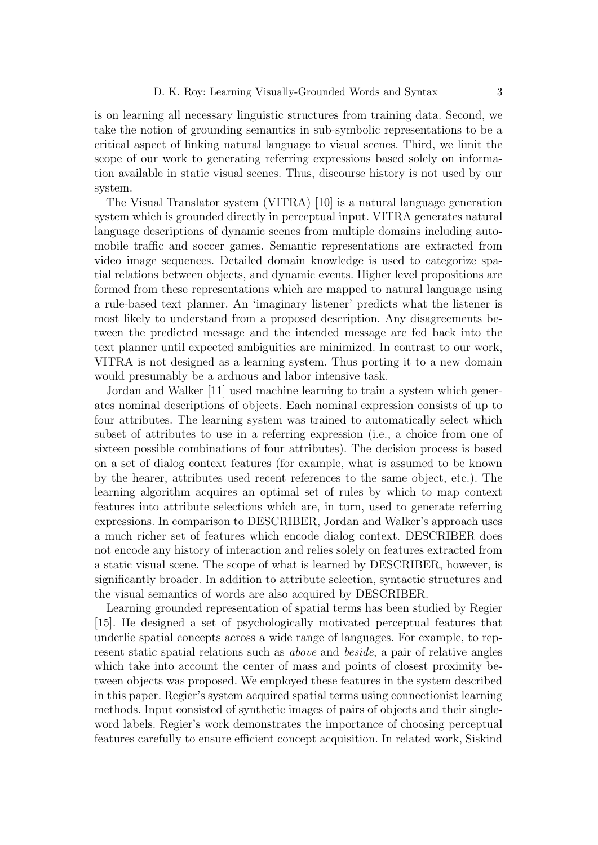is on learning all necessary linguistic structures from training data. Second, we take the notion of grounding semantics in sub-symbolic representations to be a critical aspect of linking natural language to visual scenes. Third, we limit the scope of our work to generating referring expressions based solely on information available in static visual scenes. Thus, discourse history is not used by our system.

The Visual Translator system (VITRA) [10] is a natural language generation system which is grounded directly in perceptual input. VITRA generates natural language descriptions of dynamic scenes from multiple domains including automobile traffic and soccer games. Semantic representations are extracted from video image sequences. Detailed domain knowledge is used to categorize spatial relations between objects, and dynamic events. Higher level propositions are formed from these representations which are mapped to natural language using a rule-based text planner. An 'imaginary listener' predicts what the listener is most likely to understand from a proposed description. Any disagreements between the predicted message and the intended message are fed back into the text planner until expected ambiguities are minimized. In contrast to our work, VITRA is not designed as a learning system. Thus porting it to a new domain would presumably be a arduous and labor intensive task.

Jordan and Walker [11] used machine learning to train a system which generates nominal descriptions of objects. Each nominal expression consists of up to four attributes. The learning system was trained to automatically select which subset of attributes to use in a referring expression (i.e., a choice from one of sixteen possible combinations of four attributes). The decision process is based on a set of dialog context features (for example, what is assumed to be known by the hearer, attributes used recent references to the same object, etc.). The learning algorithm acquires an optimal set of rules by which to map context features into attribute selections which are, in turn, used to generate referring expressions. In comparison to DESCRIBER, Jordan and Walker's approach uses a much richer set of features which encode dialog context. DESCRIBER does not encode any history of interaction and relies solely on features extracted from a static visual scene. The scope of what is learned by DESCRIBER, however, is significantly broader. In addition to attribute selection, syntactic structures and the visual semantics of words are also acquired by DESCRIBER.

Learning grounded representation of spatial terms has been studied by Regier [15]. He designed a set of psychologically motivated perceptual features that underlie spatial concepts across a wide range of languages. For example, to represent static spatial relations such as above and beside, a pair of relative angles which take into account the center of mass and points of closest proximity between objects was proposed. We employed these features in the system described in this paper. Regier's system acquired spatial terms using connectionist learning methods. Input consisted of synthetic images of pairs of objects and their singleword labels. Regier's work demonstrates the importance of choosing perceptual features carefully to ensure efficient concept acquisition. In related work, Siskind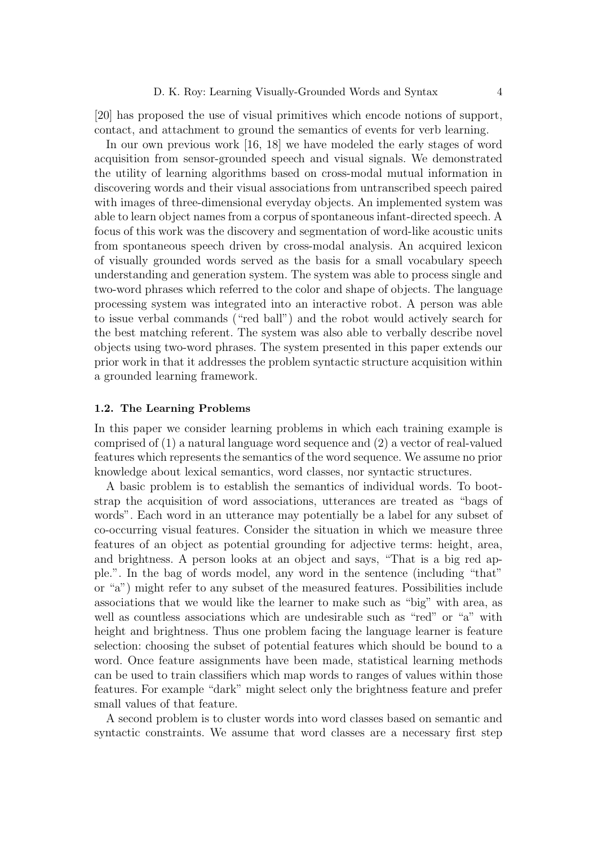[20] has proposed the use of visual primitives which encode notions of support, contact, and attachment to ground the semantics of events for verb learning.

In our own previous work [16, 18] we have modeled the early stages of word acquisition from sensor-grounded speech and visual signals. We demonstrated the utility of learning algorithms based on cross-modal mutual information in discovering words and their visual associations from untranscribed speech paired with images of three-dimensional everyday objects. An implemented system was able to learn object names from a corpus of spontaneous infant-directed speech. A focus of this work was the discovery and segmentation of word-like acoustic units from spontaneous speech driven by cross-modal analysis. An acquired lexicon of visually grounded words served as the basis for a small vocabulary speech understanding and generation system. The system was able to process single and two-word phrases which referred to the color and shape of objects. The language processing system was integrated into an interactive robot. A person was able to issue verbal commands ("red ball") and the robot would actively search for the best matching referent. The system was also able to verbally describe novel objects using two-word phrases. The system presented in this paper extends our prior work in that it addresses the problem syntactic structure acquisition within a grounded learning framework.

#### 1.2. The Learning Problems

In this paper we consider learning problems in which each training example is comprised of (1) a natural language word sequence and (2) a vector of real-valued features which represents the semantics of the word sequence. We assume no prior knowledge about lexical semantics, word classes, nor syntactic structures.

A basic problem is to establish the semantics of individual words. To bootstrap the acquisition of word associations, utterances are treated as "bags of words". Each word in an utterance may potentially be a label for any subset of co-occurring visual features. Consider the situation in which we measure three features of an object as potential grounding for adjective terms: height, area, and brightness. A person looks at an object and says, "That is a big red apple.". In the bag of words model, any word in the sentence (including "that" or "a") might refer to any subset of the measured features. Possibilities include associations that we would like the learner to make such as "big" with area, as well as countless associations which are undesirable such as "red" or "a" with height and brightness. Thus one problem facing the language learner is feature selection: choosing the subset of potential features which should be bound to a word. Once feature assignments have been made, statistical learning methods can be used to train classifiers which map words to ranges of values within those features. For example "dark" might select only the brightness feature and prefer small values of that feature.

A second problem is to cluster words into word classes based on semantic and syntactic constraints. We assume that word classes are a necessary first step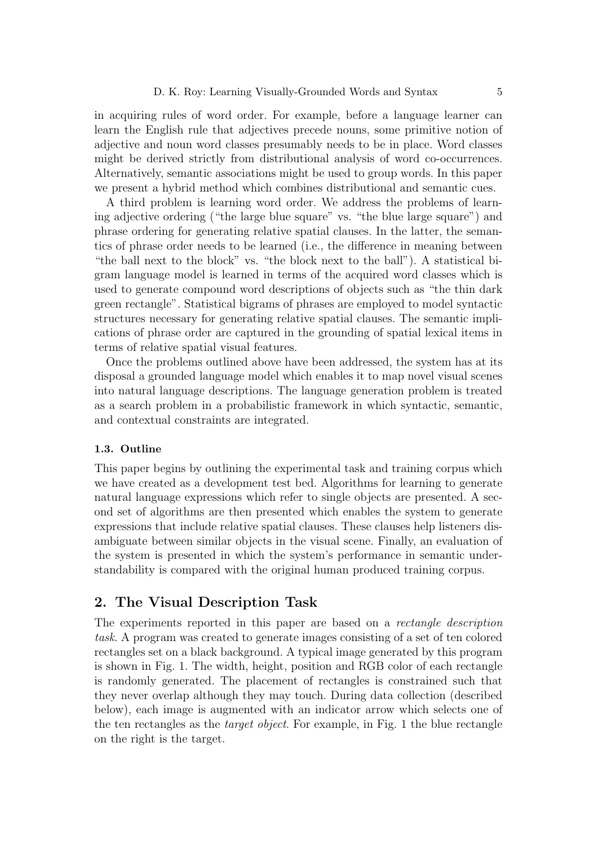in acquiring rules of word order. For example, before a language learner can learn the English rule that adjectives precede nouns, some primitive notion of adjective and noun word classes presumably needs to be in place. Word classes might be derived strictly from distributional analysis of word co-occurrences. Alternatively, semantic associations might be used to group words. In this paper we present a hybrid method which combines distributional and semantic cues.

A third problem is learning word order. We address the problems of learning adjective ordering ("the large blue square" vs. "the blue large square") and phrase ordering for generating relative spatial clauses. In the latter, the semantics of phrase order needs to be learned (i.e., the difference in meaning between "the ball next to the block" vs. "the block next to the ball"). A statistical bigram language model is learned in terms of the acquired word classes which is used to generate compound word descriptions of objects such as "the thin dark green rectangle". Statistical bigrams of phrases are employed to model syntactic structures necessary for generating relative spatial clauses. The semantic implications of phrase order are captured in the grounding of spatial lexical items in terms of relative spatial visual features.

Once the problems outlined above have been addressed, the system has at its disposal a grounded language model which enables it to map novel visual scenes into natural language descriptions. The language generation problem is treated as a search problem in a probabilistic framework in which syntactic, semantic, and contextual constraints are integrated.

#### 1.3. Outline

This paper begins by outlining the experimental task and training corpus which we have created as a development test bed. Algorithms for learning to generate natural language expressions which refer to single objects are presented. A second set of algorithms are then presented which enables the system to generate expressions that include relative spatial clauses. These clauses help listeners disambiguate between similar objects in the visual scene. Finally, an evaluation of the system is presented in which the system's performance in semantic understandability is compared with the original human produced training corpus.

## 2. The Visual Description Task

The experiments reported in this paper are based on a rectangle description task. A program was created to generate images consisting of a set of ten colored rectangles set on a black background. A typical image generated by this program is shown in Fig. 1. The width, height, position and RGB color of each rectangle is randomly generated. The placement of rectangles is constrained such that they never overlap although they may touch. During data collection (described below), each image is augmented with an indicator arrow which selects one of the ten rectangles as the target object. For example, in Fig. 1 the blue rectangle on the right is the target.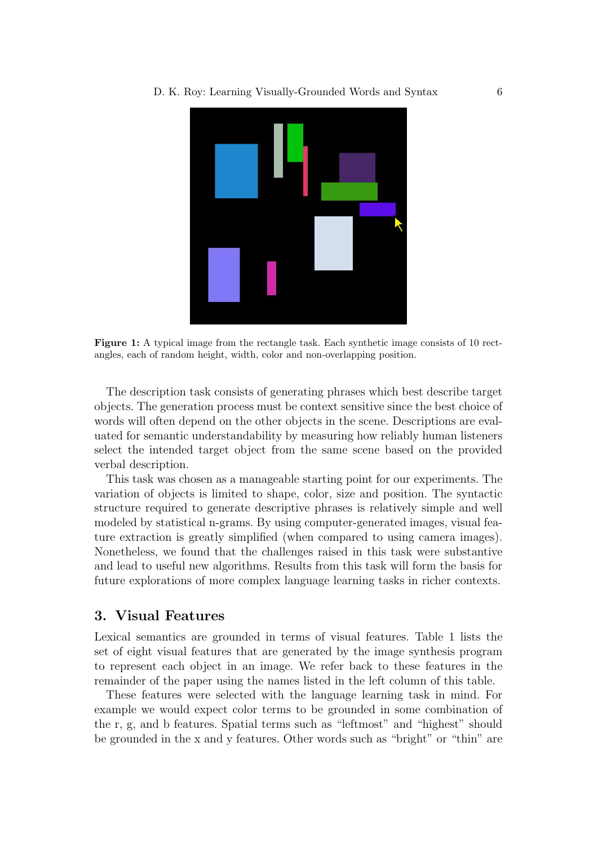

Figure 1: A typical image from the rectangle task. Each synthetic image consists of 10 rectangles, each of random height, width, color and non-overlapping position.

The description task consists of generating phrases which best describe target objects. The generation process must be context sensitive since the best choice of words will often depend on the other objects in the scene. Descriptions are evaluated for semantic understandability by measuring how reliably human listeners select the intended target object from the same scene based on the provided verbal description.

This task was chosen as a manageable starting point for our experiments. The variation of objects is limited to shape, color, size and position. The syntactic structure required to generate descriptive phrases is relatively simple and well modeled by statistical n-grams. By using computer-generated images, visual feature extraction is greatly simplified (when compared to using camera images). Nonetheless, we found that the challenges raised in this task were substantive and lead to useful new algorithms. Results from this task will form the basis for future explorations of more complex language learning tasks in richer contexts.

## 3. Visual Features

Lexical semantics are grounded in terms of visual features. Table 1 lists the set of eight visual features that are generated by the image synthesis program to represent each object in an image. We refer back to these features in the remainder of the paper using the names listed in the left column of this table.

These features were selected with the language learning task in mind. For example we would expect color terms to be grounded in some combination of the r, g, and b features. Spatial terms such as "leftmost" and "highest" should be grounded in the x and y features. Other words such as "bright" or "thin" are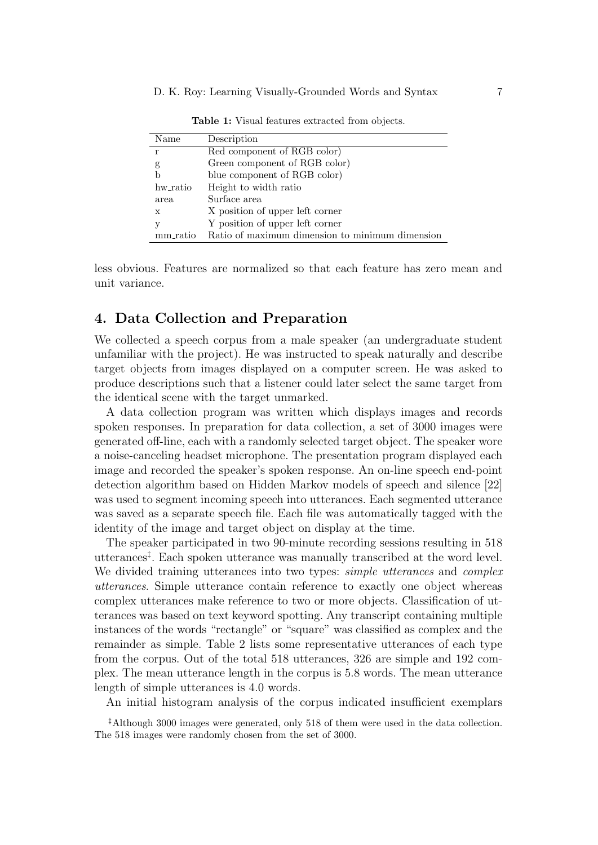| Name     | Description                                     |
|----------|-------------------------------------------------|
|          | Red component of RGB color)                     |
| g        | Green component of RGB color)                   |
|          | blue component of RGB color)                    |
| hw_ratio | Height to width ratio                           |
| area     | Surface area                                    |
| X        | X position of upper left corner                 |
| V        | Y position of upper left corner                 |
|          | Ratio of maximum dimension to minimum dimension |

Table 1: Visual features extracted from objects.

less obvious. Features are normalized so that each feature has zero mean and unit variance.

## 4. Data Collection and Preparation

We collected a speech corpus from a male speaker (an undergraduate student unfamiliar with the project). He was instructed to speak naturally and describe target objects from images displayed on a computer screen. He was asked to produce descriptions such that a listener could later select the same target from the identical scene with the target unmarked.

A data collection program was written which displays images and records spoken responses. In preparation for data collection, a set of 3000 images were generated off-line, each with a randomly selected target object. The speaker wore a noise-canceling headset microphone. The presentation program displayed each image and recorded the speaker's spoken response. An on-line speech end-point detection algorithm based on Hidden Markov models of speech and silence [22] was used to segment incoming speech into utterances. Each segmented utterance was saved as a separate speech file. Each file was automatically tagged with the identity of the image and target object on display at the time.

The speaker participated in two 90-minute recording sessions resulting in 518 utterances‡ . Each spoken utterance was manually transcribed at the word level. We divided training utterances into two types: *simple utterances* and *complex* utterances. Simple utterance contain reference to exactly one object whereas complex utterances make reference to two or more objects. Classification of utterances was based on text keyword spotting. Any transcript containing multiple instances of the words "rectangle" or "square" was classified as complex and the remainder as simple. Table 2 lists some representative utterances of each type from the corpus. Out of the total 518 utterances, 326 are simple and 192 complex. The mean utterance length in the corpus is 5.8 words. The mean utterance length of simple utterances is 4.0 words.

An initial histogram analysis of the corpus indicated insufficient exemplars

‡Although 3000 images were generated, only 518 of them were used in the data collection. The 518 images were randomly chosen from the set of 3000.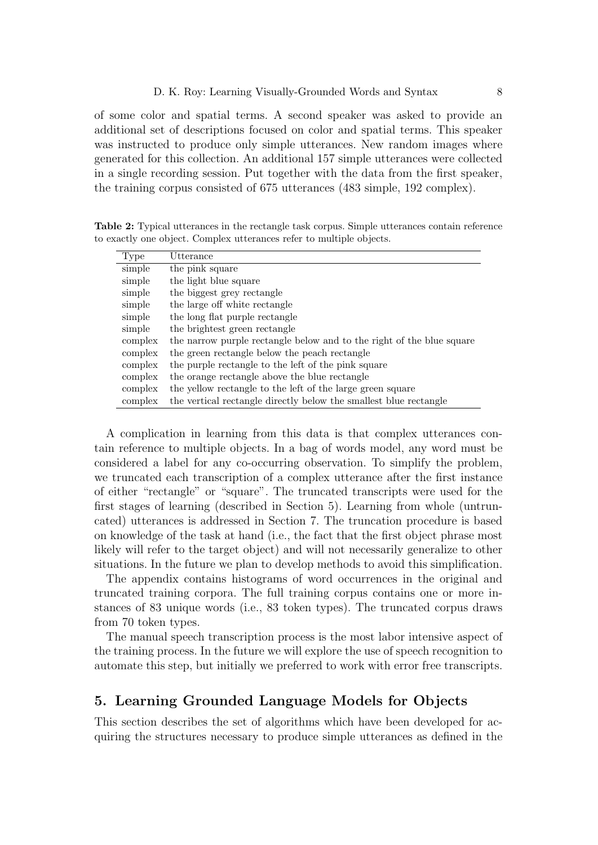of some color and spatial terms. A second speaker was asked to provide an additional set of descriptions focused on color and spatial terms. This speaker was instructed to produce only simple utterances. New random images where generated for this collection. An additional 157 simple utterances were collected in a single recording session. Put together with the data from the first speaker, the training corpus consisted of 675 utterances (483 simple, 192 complex).

Table 2: Typical utterances in the rectangle task corpus. Simple utterances contain reference to exactly one object. Complex utterances refer to multiple objects.

| Type    | Utterance                                                             |
|---------|-----------------------------------------------------------------------|
| simple  | the pink square                                                       |
| simple  | the light blue square                                                 |
| simple  | the biggest grey rectangle                                            |
| simple  | the large off white rectangle                                         |
| simple  | the long flat purple rectangle                                        |
| simple  | the brightest green rectangle                                         |
| complex | the narrow purple rectangle below and to the right of the blue square |
| complex | the green rectangle below the peach rectangle                         |
| complex | the purple rectangle to the left of the pink square                   |
| complex | the orange rectangle above the blue rectangle                         |
| complex | the yellow rectangle to the left of the large green square            |
| complex | the vertical rectangle directly below the smallest blue rectangle     |

A complication in learning from this data is that complex utterances contain reference to multiple objects. In a bag of words model, any word must be considered a label for any co-occurring observation. To simplify the problem, we truncated each transcription of a complex utterance after the first instance of either "rectangle" or "square". The truncated transcripts were used for the first stages of learning (described in Section 5). Learning from whole (untruncated) utterances is addressed in Section 7. The truncation procedure is based on knowledge of the task at hand (i.e., the fact that the first object phrase most likely will refer to the target object) and will not necessarily generalize to other situations. In the future we plan to develop methods to avoid this simplification.

The appendix contains histograms of word occurrences in the original and truncated training corpora. The full training corpus contains one or more instances of 83 unique words (i.e., 83 token types). The truncated corpus draws from 70 token types.

The manual speech transcription process is the most labor intensive aspect of the training process. In the future we will explore the use of speech recognition to automate this step, but initially we preferred to work with error free transcripts.

## 5. Learning Grounded Language Models for Objects

This section describes the set of algorithms which have been developed for acquiring the structures necessary to produce simple utterances as defined in the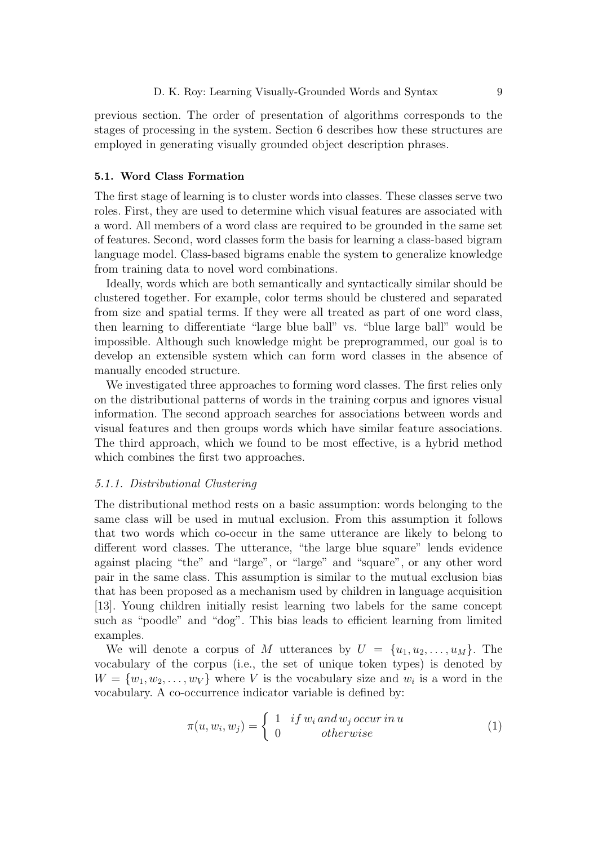previous section. The order of presentation of algorithms corresponds to the stages of processing in the system. Section 6 describes how these structures are employed in generating visually grounded object description phrases.

#### 5.1. Word Class Formation

The first stage of learning is to cluster words into classes. These classes serve two roles. First, they are used to determine which visual features are associated with a word. All members of a word class are required to be grounded in the same set of features. Second, word classes form the basis for learning a class-based bigram language model. Class-based bigrams enable the system to generalize knowledge from training data to novel word combinations.

Ideally, words which are both semantically and syntactically similar should be clustered together. For example, color terms should be clustered and separated from size and spatial terms. If they were all treated as part of one word class, then learning to differentiate "large blue ball" vs. "blue large ball" would be impossible. Although such knowledge might be preprogrammed, our goal is to develop an extensible system which can form word classes in the absence of manually encoded structure.

We investigated three approaches to forming word classes. The first relies only on the distributional patterns of words in the training corpus and ignores visual information. The second approach searches for associations between words and visual features and then groups words which have similar feature associations. The third approach, which we found to be most effective, is a hybrid method which combines the first two approaches.

#### 5.1.1. Distributional Clustering

The distributional method rests on a basic assumption: words belonging to the same class will be used in mutual exclusion. From this assumption it follows that two words which co-occur in the same utterance are likely to belong to different word classes. The utterance, "the large blue square" lends evidence against placing "the" and "large", or "large" and "square", or any other word pair in the same class. This assumption is similar to the mutual exclusion bias that has been proposed as a mechanism used by children in language acquisition [13]. Young children initially resist learning two labels for the same concept such as "poodle" and "dog". This bias leads to efficient learning from limited examples.

We will denote a corpus of M utterances by  $U = \{u_1, u_2, \ldots, u_M\}$ . The vocabulary of the corpus (i.e., the set of unique token types) is denoted by  $W = \{w_1, w_2, \dots, w_V\}$  where V is the vocabulary size and  $w_i$  is a word in the vocabulary. A co-occurrence indicator variable is defined by:

$$
\pi(u, w_i, w_j) = \begin{cases} 1 & if w_i \text{ and } w_j \text{ occur in } u \\ 0 & otherwise \end{cases}
$$
 (1)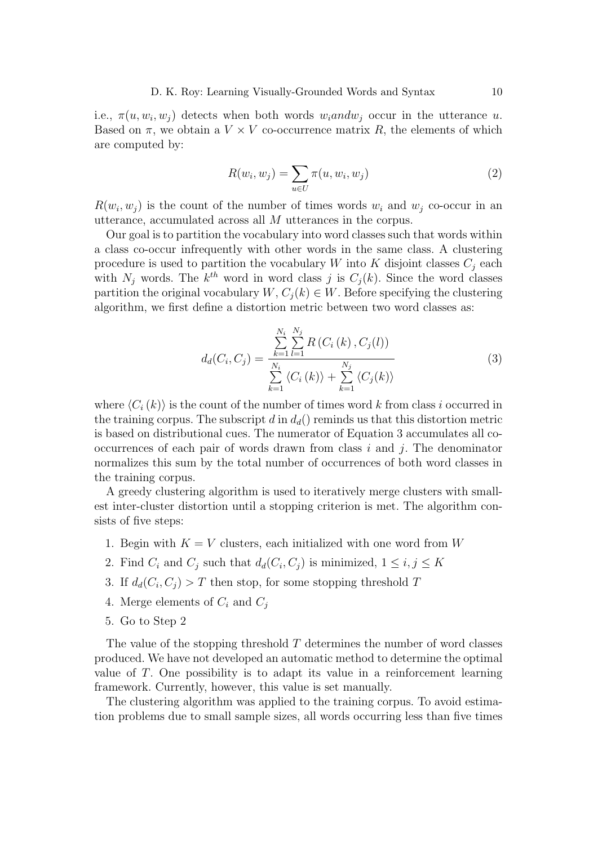i.e.,  $\pi(u, w_i, w_j)$  detects when both words  $w_i$  and  $w_j$  occur in the utterance u. Based on  $\pi$ , we obtain a  $V \times V$  co-occurrence matrix R, the elements of which are computed by:

$$
R(w_i, w_j) = \sum_{u \in U} \pi(u, w_i, w_j)
$$
\n
$$
(2)
$$

 $R(w_i, w_j)$  is the count of the number of times words  $w_i$  and  $w_j$  co-occur in an utterance, accumulated across all M utterances in the corpus.

Our goal is to partition the vocabulary into word classes such that words within a class co-occur infrequently with other words in the same class. A clustering procedure is used to partition the vocabulary W into K disjoint classes  $C_j$  each with  $N_j$  words. The  $k^{th}$  word in word class j is  $C_j(k)$ . Since the word classes partition the original vocabulary  $W, C_i(k) \in W$ . Before specifying the clustering algorithm, we first define a distortion metric between two word classes as:

$$
d_{d}(C_{i}, C_{j}) = \frac{\sum_{k=1}^{N_{i}} \sum_{l=1}^{N_{j}} R(C_{i}(k), C_{j}(l))}{\sum_{k=1}^{N_{i}} \langle C_{i}(k) \rangle + \sum_{k=1}^{N_{j}} \langle C_{j}(k) \rangle}
$$
(3)

where  $\langle C_i (k) \rangle$  is the count of the number of times word k from class i occurred in the training corpus. The subscript d in  $d_d()$  reminds us that this distortion metric is based on distributional cues. The numerator of Equation 3 accumulates all cooccurrences of each pair of words drawn from class  $i$  and  $j$ . The denominator normalizes this sum by the total number of occurrences of both word classes in the training corpus.

A greedy clustering algorithm is used to iteratively merge clusters with smallest inter-cluster distortion until a stopping criterion is met. The algorithm consists of five steps:

- 1. Begin with  $K = V$  clusters, each initialized with one word from W
- 2. Find  $C_i$  and  $C_j$  such that  $d_d(C_i, C_j)$  is minimized,  $1 \leq i, j \leq K$
- 3. If  $d_d(C_i, C_j) > T$  then stop, for some stopping threshold T
- 4. Merge elements of  $C_i$  and  $C_j$
- 5. Go to Step 2

The value of the stopping threshold T determines the number of word classes produced. We have not developed an automatic method to determine the optimal value of T. One possibility is to adapt its value in a reinforcement learning framework. Currently, however, this value is set manually.

The clustering algorithm was applied to the training corpus. To avoid estimation problems due to small sample sizes, all words occurring less than five times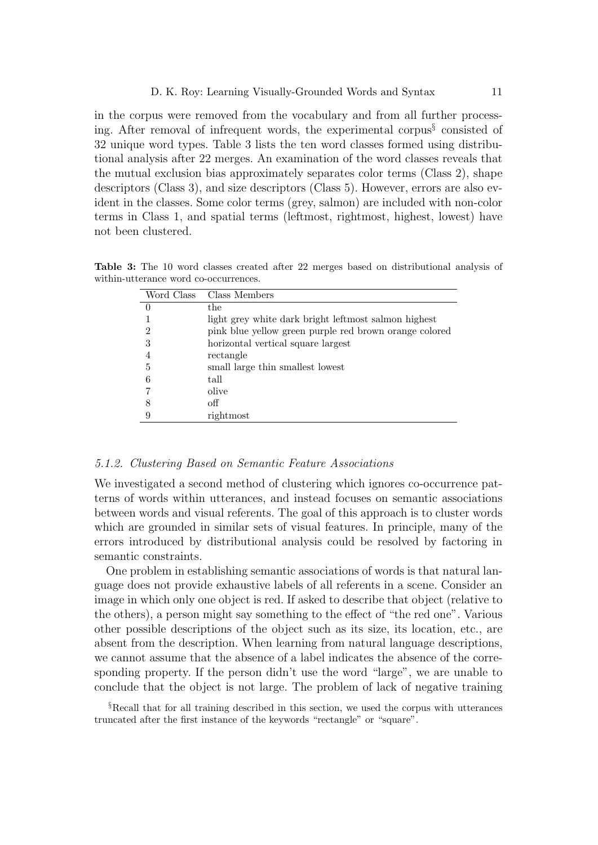in the corpus were removed from the vocabulary and from all further processing. After removal of infrequent words, the experimental corpus§ consisted of 32 unique word types. Table 3 lists the ten word classes formed using distributional analysis after 22 merges. An examination of the word classes reveals that the mutual exclusion bias approximately separates color terms (Class 2), shape descriptors (Class 3), and size descriptors (Class 5). However, errors are also evident in the classes. Some color terms (grey, salmon) are included with non-color terms in Class 1, and spatial terms (leftmost, rightmost, highest, lowest) have not been clustered.

| Word Class | Class Members                                          |
|------------|--------------------------------------------------------|
|            | the                                                    |
|            | light grey white dark bright leftmost salmon highest   |
| 2          | pink blue yellow green purple red brown orange colored |
| 3          | horizontal vertical square largest                     |
| 4          | rectangle                                              |
| 5          | small large thin smallest lowest                       |
| 6          | tall                                                   |
|            | olive                                                  |
| 8          | off                                                    |
| Q          | rightmost                                              |

Table 3: The 10 word classes created after 22 merges based on distributional analysis of within-utterance word co-occurrences.

#### 5.1.2. Clustering Based on Semantic Feature Associations

We investigated a second method of clustering which ignores co-occurrence patterns of words within utterances, and instead focuses on semantic associations between words and visual referents. The goal of this approach is to cluster words which are grounded in similar sets of visual features. In principle, many of the errors introduced by distributional analysis could be resolved by factoring in semantic constraints.

One problem in establishing semantic associations of words is that natural language does not provide exhaustive labels of all referents in a scene. Consider an image in which only one object is red. If asked to describe that object (relative to the others), a person might say something to the effect of "the red one". Various other possible descriptions of the object such as its size, its location, etc., are absent from the description. When learning from natural language descriptions, we cannot assume that the absence of a label indicates the absence of the corresponding property. If the person didn't use the word "large", we are unable to conclude that the object is not large. The problem of lack of negative training

§Recall that for all training described in this section, we used the corpus with utterances truncated after the first instance of the keywords "rectangle" or "square".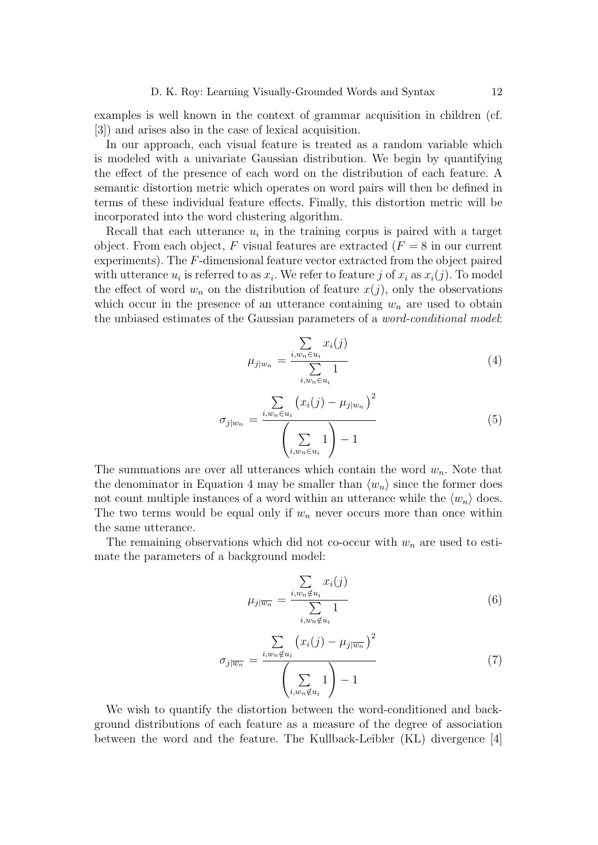examples is well known in the context of grammar acquisition in children (cf. [3]) and arises also in the case of lexical acquisition.

In our approach, each visual feature is treated as a random variable which is modeled with a univariate Gaussian distribution. We begin by quantifying the effect of the presence of each word on the distribution of each feature. A semantic distortion metric which operates on word pairs will then be defined in terms of these individual feature effects. Finally, this distortion metric will be incorporated into the word clustering algorithm.

Recall that each utterance  $u_i$  in the training corpus is paired with a target object. From each object, F visual features are extracted ( $F = 8$  in our current experiments). The F-dimensional feature vector extracted from the object paired with utterance  $u_i$  is referred to as  $x_i$ . We refer to feature j of  $x_i$  as  $x_i(j)$ . To model the effect of word  $w_n$  on the distribution of feature  $x(j)$ , only the observations which occur in the presence of an utterance containing  $w_n$  are used to obtain the unbiased estimates of the Gaussian parameters of a word-conditional model:

$$
\mu_{j|w_n} = \frac{\sum_{i,w_n \in u_i} x_i(j)}{\sum_{i,w_n \in u_i} 1} \tag{4}
$$

$$
\sigma_{j|w_n} = \frac{\sum_{i, w_n \in u_i} (x_i(j) - \mu_{j|w_n})^2}{\left(\sum_{i, w_n \in u_i} 1\right) - 1}
$$
\n(5)

The summations are over all utterances which contain the word  $w_n$ . Note that the denominator in Equation 4 may be smaller than  $\langle w_n \rangle$  since the former does not count multiple instances of a word within an utterance while the  $\langle w_n \rangle$  does. The two terms would be equal only if  $w_n$  never occurs more than once within the same utterance.

The remaining observations which did not co-occur with  $w_n$  are used to estimate the parameters of a background model:

$$
\mu_{j|\overline{w_n}} = \frac{\sum_{i,w_n \notin u_i} x_i(j)}{\sum_{i,w_n \notin u_i} 1} \tag{6}
$$

$$
\sigma_{j|\overline{w_n}} = \frac{\sum\limits_{i, w_n \notin u_i} (x_i(j) - \mu_{j|\overline{w_n}})^2}{\left(\sum\limits_{i, w_n \notin u_i} 1\right) - 1} \tag{7}
$$

We wish to quantify the distortion between the word-conditioned and background distributions of each feature as a measure of the degree of association between the word and the feature. The Kullback-Leibler (KL) divergence [4]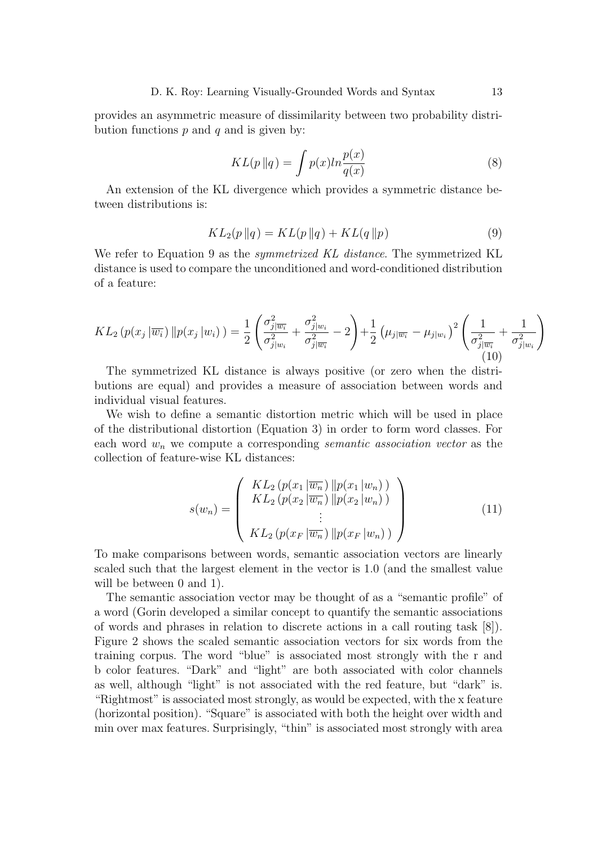provides an asymmetric measure of dissimilarity between two probability distribution functions  $p$  and  $q$  and is given by:

$$
KL(p || q) = \int p(x) ln \frac{p(x)}{q(x)}
$$
\n(8)

An extension of the KL divergence which provides a symmetric distance between distributions is:

$$
KL_2(p \| q) = KL(p \| q) + KL(q \| p)
$$
\n(9)

We refer to Equation 9 as the *symmetrized KL distance*. The symmetrized KL distance is used to compare the unconditioned and word-conditioned distribution of a feature:

$$
KL_2(p(x_j|\overline{w_i})\|p(x_j|w_i)) = \frac{1}{2}\left(\frac{\sigma_{j|\overline{w_i}}^2}{\sigma_{j|w_i}^2} + \frac{\sigma_{j|w_i}^2}{\sigma_{j|\overline{w_i}}^2} - 2\right) + \frac{1}{2}\left(\mu_{j|\overline{w_i}} - \mu_{j|w_i}\right)^2 \left(\frac{1}{\sigma_{j|\overline{w_i}}^2} + \frac{1}{\sigma_{j|w_i}^2}\right)
$$
\n(10)

The symmetrized KL distance is always positive (or zero when the distributions are equal) and provides a measure of association between words and individual visual features.

We wish to define a semantic distortion metric which will be used in place of the distributional distortion (Equation 3) in order to form word classes. For each word  $w_n$  we compute a corresponding *semantic association vector* as the collection of feature-wise KL distances:

$$
s(w_n) = \begin{pmatrix} KL_2\left(p(x_1 | \overline{w_n}) || p(x_1 | w_n)\right) \\ KL_2\left(p(x_2 | \overline{w_n}) || p(x_2 | w_n)\right) \\ \vdots \\ KL_2\left(p(x_F | \overline{w_n}) || p(x_F | w_n)\right) \end{pmatrix}
$$
(11)

To make comparisons between words, semantic association vectors are linearly scaled such that the largest element in the vector is 1.0 (and the smallest value will be between 0 and 1).

The semantic association vector may be thought of as a "semantic profile" of a word (Gorin developed a similar concept to quantify the semantic associations of words and phrases in relation to discrete actions in a call routing task [8]). Figure 2 shows the scaled semantic association vectors for six words from the training corpus. The word "blue" is associated most strongly with the r and b color features. "Dark" and "light" are both associated with color channels as well, although "light" is not associated with the red feature, but "dark" is. "Rightmost" is associated most strongly, as would be expected, with the x feature (horizontal position). "Square" is associated with both the height over width and min over max features. Surprisingly, "thin" is associated most strongly with area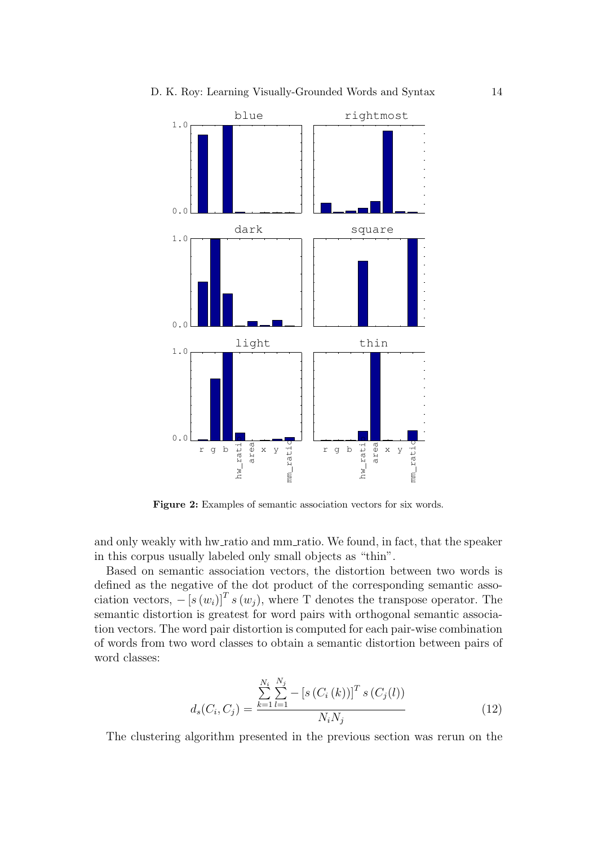

Figure 2: Examples of semantic association vectors for six words.

and only weakly with hw\_ratio and mm\_ratio. We found, in fact, that the speaker in this corpus usually labeled only small objects as "thin".

Based on semantic association vectors, the distortion between two words is defined as the negative of the dot product of the corresponding semantic association vectors,  $-\left[s(w_i)\right]^T s(w_j)$ , where T denotes the transpose operator. The semantic distortion is greatest for word pairs with orthogonal semantic association vectors. The word pair distortion is computed for each pair-wise combination of words from two word classes to obtain a semantic distortion between pairs of word classes:

$$
d_s(C_i, C_j) = \frac{\sum_{k=1}^{N_i} \sum_{l=1}^{N_j} - [s(C_i(k))]^T s(C_j(l))}{N_i N_j}
$$
(12)

The clustering algorithm presented in the previous section was rerun on the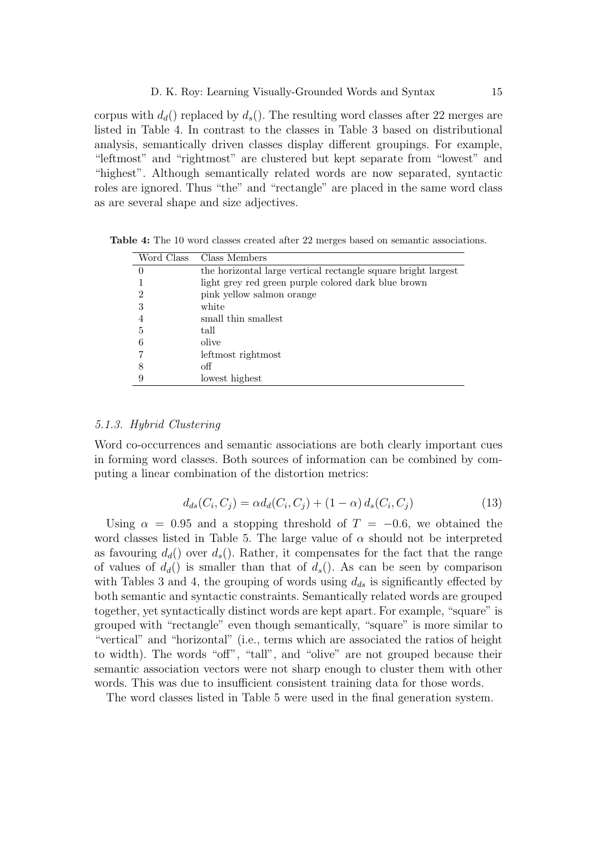corpus with  $d_d()$  replaced by  $d_s()$ . The resulting word classes after 22 merges are listed in Table 4. In contrast to the classes in Table 3 based on distributional analysis, semantically driven classes display different groupings. For example, "leftmost" and "rightmost" are clustered but kept separate from "lowest" and "highest". Although semantically related words are now separated, syntactic roles are ignored. Thus "the" and "rectangle" are placed in the same word class as are several shape and size adjectives.

| Word Class | Class Members                                                 |
|------------|---------------------------------------------------------------|
| $\theta$   | the horizontal large vertical rectangle square bright largest |
|            | light grey red green purple colored dark blue brown           |
| 2          | pink yellow salmon orange                                     |
| 3          | white                                                         |
| 4          | small thin smallest                                           |
| 5          | tall                                                          |
| 6          | olive                                                         |
| 7          | leftmost rightmost                                            |
| 8          | off                                                           |
| 9          | lowest highest                                                |

Table 4: The 10 word classes created after 22 merges based on semantic associations.

#### 5.1.3. Hybrid Clustering

Word co-occurrences and semantic associations are both clearly important cues in forming word classes. Both sources of information can be combined by computing a linear combination of the distortion metrics:

$$
d_{ds}(C_i, C_j) = \alpha d_d(C_i, C_j) + (1 - \alpha) d_s(C_i, C_j)
$$
\n(13)

Using  $\alpha = 0.95$  and a stopping threshold of  $T = -0.6$ , we obtained the word classes listed in Table 5. The large value of  $\alpha$  should not be interpreted as favouring  $d_d()$  over  $d_s()$ . Rather, it compensates for the fact that the range of values of  $d_d()$  is smaller than that of  $d_s()$ . As can be seen by comparison with Tables 3 and 4, the grouping of words using  $d_{ds}$  is significantly effected by both semantic and syntactic constraints. Semantically related words are grouped together, yet syntactically distinct words are kept apart. For example, "square" is grouped with "rectangle" even though semantically, "square" is more similar to "vertical" and "horizontal" (i.e., terms which are associated the ratios of height to width). The words "off", "tall", and "olive" are not grouped because their semantic association vectors were not sharp enough to cluster them with other words. This was due to insufficient consistent training data for those words.

The word classes listed in Table 5 were used in the final generation system.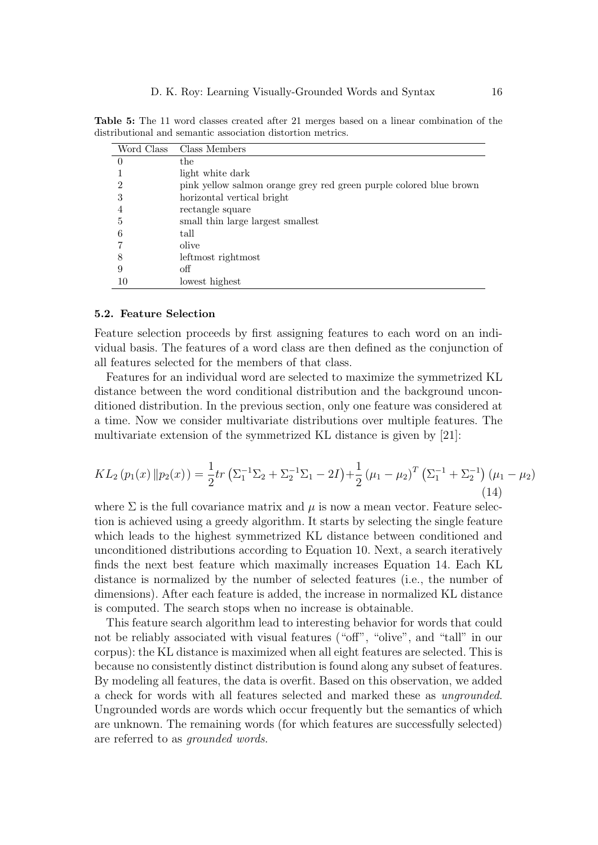| Word Class | Class Members                                                      |
|------------|--------------------------------------------------------------------|
| $\theta$   | the                                                                |
|            | light white dark                                                   |
|            | pink yellow salmon orange grey red green purple colored blue brown |
|            | horizontal vertical bright                                         |
|            | rectangle square                                                   |
| 5          | small thin large largest smallest                                  |
|            | tall                                                               |
|            | olive                                                              |
|            | leftmost rightmost                                                 |
|            | off                                                                |
| 10         | lowest highest                                                     |

Table 5: The 11 word classes created after 21 merges based on a linear combination of the distributional and semantic association distortion metrics.

#### 5.2. Feature Selection

Feature selection proceeds by first assigning features to each word on an individual basis. The features of a word class are then defined as the conjunction of all features selected for the members of that class.

Features for an individual word are selected to maximize the symmetrized KL distance between the word conditional distribution and the background unconditioned distribution. In the previous section, only one feature was considered at a time. Now we consider multivariate distributions over multiple features. The multivariate extension of the symmetrized KL distance is given by [21]:

$$
KL_2(p_1(x) \| p_2(x)) = \frac{1}{2} tr \left( \Sigma_1^{-1} \Sigma_2 + \Sigma_2^{-1} \Sigma_1 - 2I \right) + \frac{1}{2} (\mu_1 - \mu_2)^T \left( \Sigma_1^{-1} + \Sigma_2^{-1} \right) (\mu_1 - \mu_2)
$$
\n(14)

where  $\Sigma$  is the full covariance matrix and  $\mu$  is now a mean vector. Feature selection is achieved using a greedy algorithm. It starts by selecting the single feature which leads to the highest symmetrized KL distance between conditioned and unconditioned distributions according to Equation 10. Next, a search iteratively finds the next best feature which maximally increases Equation 14. Each KL distance is normalized by the number of selected features (i.e., the number of dimensions). After each feature is added, the increase in normalized KL distance is computed. The search stops when no increase is obtainable.

This feature search algorithm lead to interesting behavior for words that could not be reliably associated with visual features ("off", "olive", and "tall" in our corpus): the KL distance is maximized when all eight features are selected. This is because no consistently distinct distribution is found along any subset of features. By modeling all features, the data is overfit. Based on this observation, we added a check for words with all features selected and marked these as ungrounded. Ungrounded words are words which occur frequently but the semantics of which are unknown. The remaining words (for which features are successfully selected) are referred to as grounded words.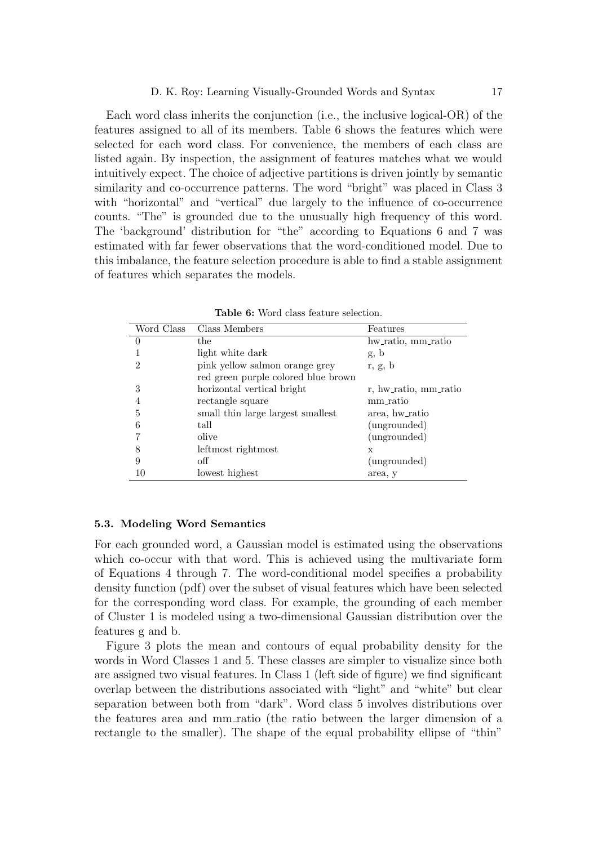Each word class inherits the conjunction (i.e., the inclusive logical-OR) of the features assigned to all of its members. Table 6 shows the features which were selected for each word class. For convenience, the members of each class are listed again. By inspection, the assignment of features matches what we would intuitively expect. The choice of adjective partitions is driven jointly by semantic similarity and co-occurrence patterns. The word "bright" was placed in Class 3 with "horizontal" and "vertical" due largely to the influence of co-occurrence counts. "The" is grounded due to the unusually high frequency of this word. The 'background' distribution for "the" according to Equations 6 and 7 was estimated with far fewer observations that the word-conditioned model. Due to this imbalance, the feature selection procedure is able to find a stable assignment of features which separates the models.

| Word Class | Class Members                       | Features              |
|------------|-------------------------------------|-----------------------|
| $\theta$   | the                                 | hw_ratio, mm_ratio    |
|            | light white dark                    | g, b                  |
|            | pink yellow salmon orange grey      | r, g, b               |
|            | red green purple colored blue brown |                       |
| 3          | horizontal vertical bright          | r, hw_ratio, mm_ratio |
|            | rectangle square                    | mm_ratio              |
| 5          | small thin large largest smallest   | area, hw_ratio        |
|            | tall                                | (ungrounded)          |
|            | olive                               | (ungrounded)          |
| 8          | leftmost rightmost                  | X                     |
| 9          | $\alpha$                            | (ungrounded)          |
| 10         | lowest highest                      | area, y               |

Table 6: Word class feature selection.

#### 5.3. Modeling Word Semantics

For each grounded word, a Gaussian model is estimated using the observations which co-occur with that word. This is achieved using the multivariate form of Equations 4 through 7. The word-conditional model specifies a probability density function (pdf) over the subset of visual features which have been selected for the corresponding word class. For example, the grounding of each member of Cluster 1 is modeled using a two-dimensional Gaussian distribution over the features g and b.

Figure 3 plots the mean and contours of equal probability density for the words in Word Classes 1 and 5. These classes are simpler to visualize since both are assigned two visual features. In Class 1 (left side of figure) we find significant overlap between the distributions associated with "light" and "white" but clear separation between both from "dark". Word class 5 involves distributions over the features area and mm ratio (the ratio between the larger dimension of a rectangle to the smaller). The shape of the equal probability ellipse of "thin"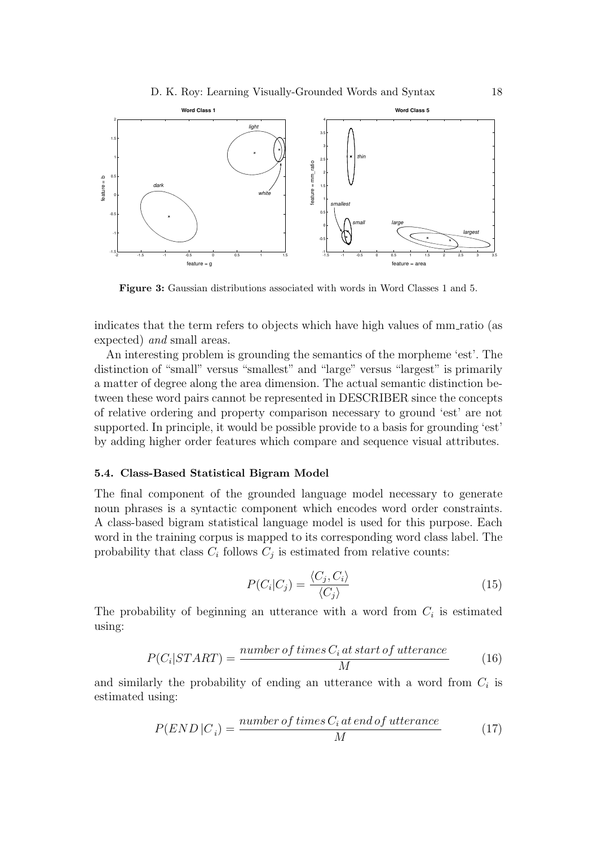

Figure 3: Gaussian distributions associated with words in Word Classes 1 and 5.

indicates that the term refers to objects which have high values of mm ratio (as expected) and small areas.

An interesting problem is grounding the semantics of the morpheme 'est'. The distinction of "small" versus "smallest" and "large" versus "largest" is primarily a matter of degree along the area dimension. The actual semantic distinction between these word pairs cannot be represented in DESCRIBER since the concepts of relative ordering and property comparison necessary to ground 'est' are not supported. In principle, it would be possible provide to a basis for grounding 'est' by adding higher order features which compare and sequence visual attributes.

#### 5.4. Class-Based Statistical Bigram Model

The final component of the grounded language model necessary to generate noun phrases is a syntactic component which encodes word order constraints. A class-based bigram statistical language model is used for this purpose. Each word in the training corpus is mapped to its corresponding word class label. The probability that class  $C_i$  follows  $C_j$  is estimated from relative counts:

$$
P(C_i|C_j) = \frac{\langle C_j, C_i \rangle}{\langle C_j \rangle} \tag{15}
$$

The probability of beginning an utterance with a word from  $C_i$  is estimated using:

$$
P(C_i|START) = \frac{number\ of\ times\ C_i\ at\ start\ of\ utterance}{M}
$$
 (16)

and similarly the probability of ending an utterance with a word from  $C_i$  is estimated using:

$$
P(END | C_i) = \frac{number\ of\ times\ C_i\ at\ end\ of\ utterance}{M} \tag{17}
$$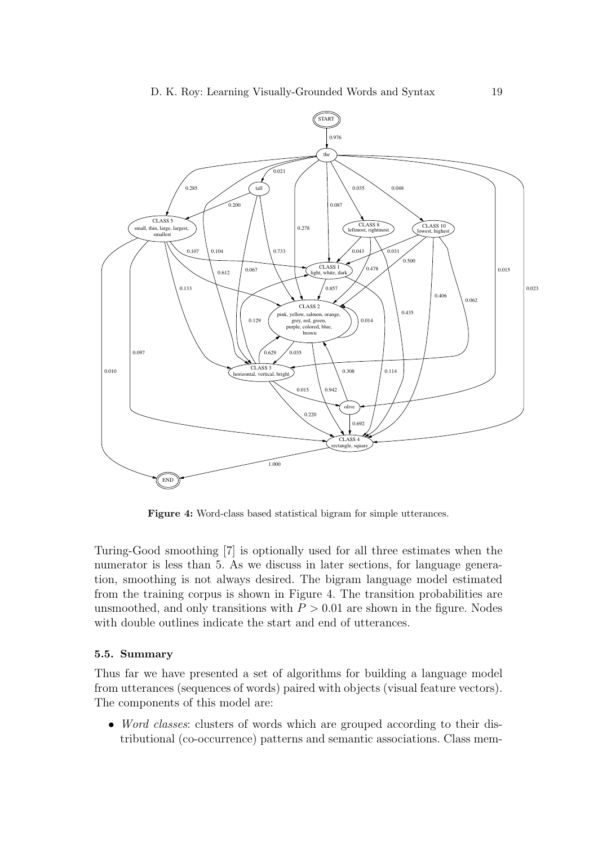

Figure 4: Word-class based statistical bigram for simple utterances.

Turing-Good smoothing [7] is optionally used for all three estimates when the numerator is less than 5. As we discuss in later sections, for language generation, smoothing is not always desired. The bigram language model estimated from the training corpus is shown in Figure 4. The transition probabilities are unsmoothed, and only transitions with  $P > 0.01$  are shown in the figure. Nodes with double outlines indicate the start and end of utterances.

#### 5.5. Summary

Thus far we have presented a set of algorithms for building a language model from utterances (sequences of words) paired with objects (visual feature vectors). The components of this model are:

• *Word classes*: clusters of words which are grouped according to their distributional (co-occurrence) patterns and semantic associations. Class mem-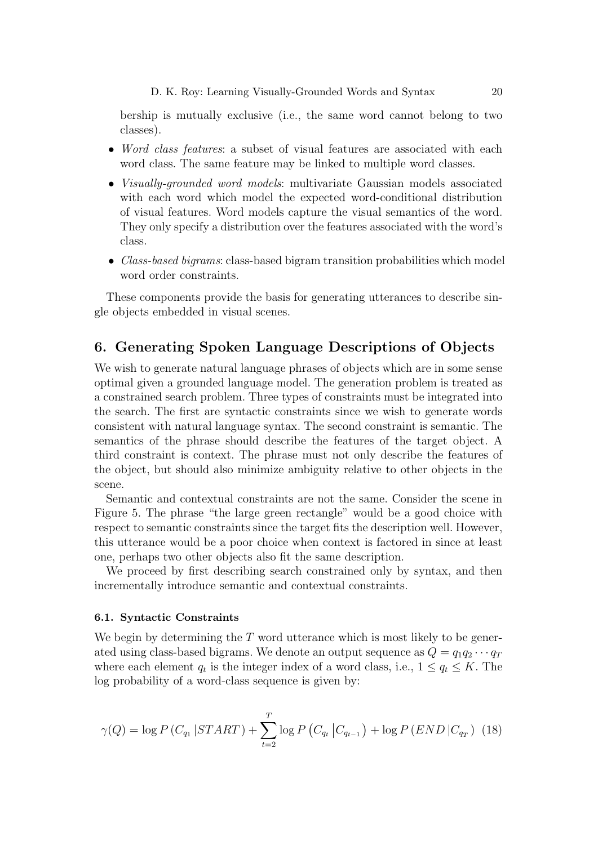bership is mutually exclusive (i.e., the same word cannot belong to two classes).

- *Word class features*: a subset of visual features are associated with each word class. The same feature may be linked to multiple word classes.
- Visually-grounded word models: multivariate Gaussian models associated with each word which model the expected word-conditional distribution of visual features. Word models capture the visual semantics of the word. They only specify a distribution over the features associated with the word's class.
- *Class-based bigrams*: class-based bigram transition probabilities which model word order constraints.

These components provide the basis for generating utterances to describe single objects embedded in visual scenes.

## 6. Generating Spoken Language Descriptions of Objects

We wish to generate natural language phrases of objects which are in some sense optimal given a grounded language model. The generation problem is treated as a constrained search problem. Three types of constraints must be integrated into the search. The first are syntactic constraints since we wish to generate words consistent with natural language syntax. The second constraint is semantic. The semantics of the phrase should describe the features of the target object. A third constraint is context. The phrase must not only describe the features of the object, but should also minimize ambiguity relative to other objects in the scene.

Semantic and contextual constraints are not the same. Consider the scene in Figure 5. The phrase "the large green rectangle" would be a good choice with respect to semantic constraints since the target fits the description well. However, this utterance would be a poor choice when context is factored in since at least one, perhaps two other objects also fit the same description.

We proceed by first describing search constrained only by syntax, and then incrementally introduce semantic and contextual constraints.

#### 6.1. Syntactic Constraints

We begin by determining the  $T$  word utterance which is most likely to be generated using class-based bigrams. We denote an output sequence as  $Q = q_1 q_2 \cdots q_T$ where each element  $q_t$  is the integer index of a word class, i.e.,  $1 \leq q_t \leq K$ . The log probability of a word-class sequence is given by:

$$
\gamma(Q) = \log P(C_{q_1} | START) + \sum_{t=2}^{T} \log P(C_{q_t} | C_{q_{t-1}}) + \log P(END | C_{q_T})
$$
 (18)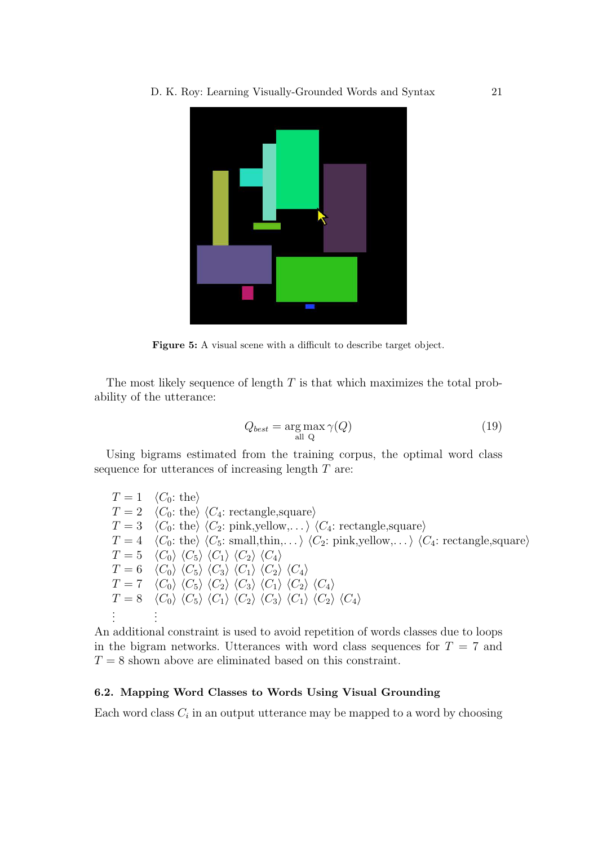

Figure 5: A visual scene with a difficult to describe target object.

The most likely sequence of length T is that which maximizes the total probability of the utterance:

$$
Q_{best} = \underset{\text{all Q}}{\text{arg max}} \gamma(Q) \tag{19}
$$

Using bigrams estimated from the training corpus, the optimal word class sequence for utterances of increasing length T are:

 $T = 1 \quad \langle C_0: \text{the} \rangle$  $T = 2 \langle C_0: \text{the} \rangle \langle C_4: \text{rectangle,square}\rangle$  $T = 3 \langle C_0: \text{the} \rangle \langle C_2: \text{pink},\text{yellow}, \dots \rangle \langle C_4: \text{rectangle}, \text{square} \rangle$  $T = 4 \langle C_0: \text{the} \rangle \langle C_5: \text{small,thin}, \dots \rangle \langle C_2: \text{pink,yellow}, \dots \rangle \langle C_4: \text{rectangle,square} \rangle$  $T = 5 \langle C_0 \rangle \langle C_5 \rangle \langle C_1 \rangle \langle C_2 \rangle \langle C_4 \rangle$  $T = 6 \langle C_0 \rangle \langle C_5 \rangle \langle C_3 \rangle \langle C_1 \rangle \langle C_2 \rangle \langle C_4 \rangle$  $T = 7 \langle C_0 \rangle \langle C_5 \rangle \langle C_2 \rangle \langle C_3 \rangle \langle C_1 \rangle \langle C_2 \rangle \langle C_4 \rangle$  $T = 8 \langle C_0 \rangle \langle C_5 \rangle \langle C_1 \rangle \langle C_2 \rangle \langle C_3 \rangle \langle C_1 \rangle \langle C_2 \rangle \langle C_4 \rangle$ . . . . . .

An additional constraint is used to avoid repetition of words classes due to loops in the bigram networks. Utterances with word class sequences for  $T = 7$  and  $T = 8$  shown above are eliminated based on this constraint.

#### 6.2. Mapping Word Classes to Words Using Visual Grounding

Each word class  $C_i$  in an output utterance may be mapped to a word by choosing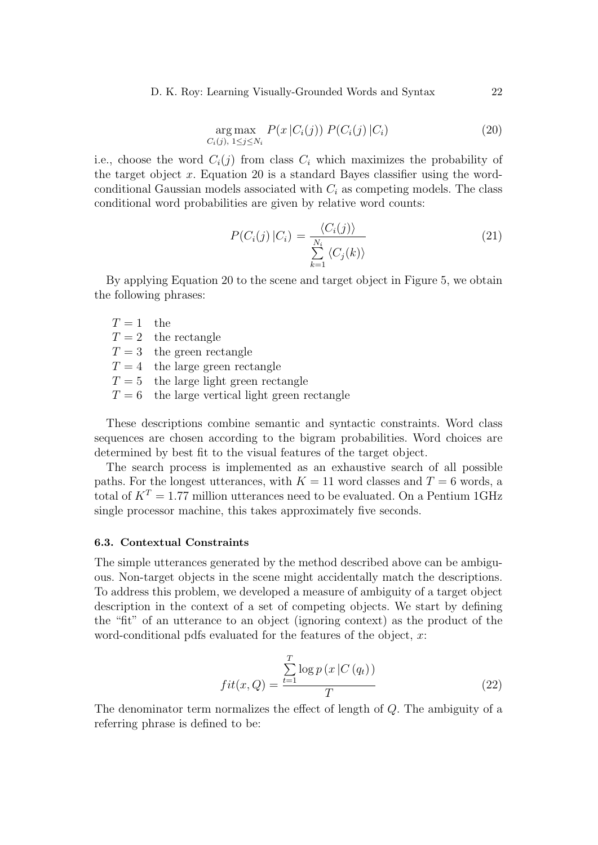$$
\underset{C_i(j), \ 1 \le j \le N_i}{\arg \max} P(x | C_i(j)) P(C_i(j) | C_i)
$$
\n(20)

i.e., choose the word  $C_i(j)$  from class  $C_i$  which maximizes the probability of the target object  $x$ . Equation 20 is a standard Bayes classifier using the wordconditional Gaussian models associated with  $C_i$  as competing models. The class conditional word probabilities are given by relative word counts:

$$
P(C_i(j) | C_i) = \frac{\langle C_i(j) \rangle}{\sum_{k=1}^{N_i} \langle C_j(k) \rangle}
$$
 (21)

By applying Equation 20 to the scene and target object in Figure 5, we obtain the following phrases:

- $T = 1$  the
- $T = 2$  the rectangle
- $T = 3$  the green rectangle
- $T = 4$  the large green rectangle
- $T = 5$  the large light green rectangle
- $T = 6$  the large vertical light green rectangle

These descriptions combine semantic and syntactic constraints. Word class sequences are chosen according to the bigram probabilities. Word choices are determined by best fit to the visual features of the target object.

The search process is implemented as an exhaustive search of all possible paths. For the longest utterances, with  $K = 11$  word classes and  $T = 6$  words, a total of  $K^T = 1.77$  million utterances need to be evaluated. On a Pentium 1GHz single processor machine, this takes approximately five seconds.

#### 6.3. Contextual Constraints

The simple utterances generated by the method described above can be ambiguous. Non-target objects in the scene might accidentally match the descriptions. To address this problem, we developed a measure of ambiguity of a target object description in the context of a set of competing objects. We start by defining the "fit" of an utterance to an object (ignoring context) as the product of the word-conditional pdfs evaluated for the features of the object, x:

$$
fit(x, Q) = \frac{\sum_{t=1}^{T} \log p(x | C(q_t))}{T}
$$
\n(22)

The denominator term normalizes the effect of length of Q. The ambiguity of a referring phrase is defined to be: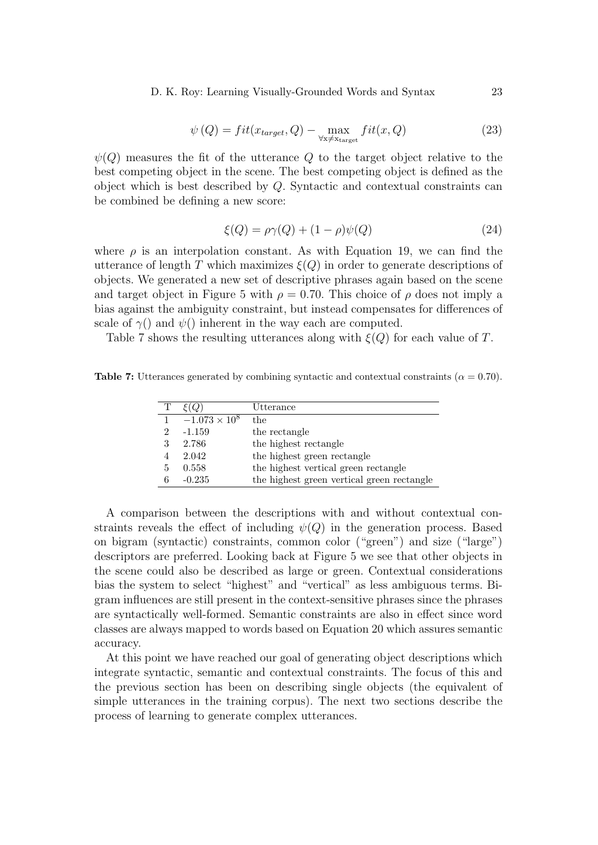$$
\psi(Q) = fit(x_{target}, Q) - \max_{\forall x \neq x_{target}} fit(x, Q)
$$
\n(23)

 $\psi(Q)$  measures the fit of the utterance Q to the target object relative to the best competing object in the scene. The best competing object is defined as the object which is best described by Q. Syntactic and contextual constraints can be combined be defining a new score:

$$
\xi(Q) = \rho \gamma(Q) + (1 - \rho)\psi(Q) \tag{24}
$$

where  $\rho$  is an interpolation constant. As with Equation 19, we can find the utterance of length T which maximizes  $\xi(Q)$  in order to generate descriptions of objects. We generated a new set of descriptive phrases again based on the scene and target object in Figure 5 with  $\rho = 0.70$ . This choice of  $\rho$  does not imply a bias against the ambiguity constraint, but instead compensates for differences of scale of  $\gamma$ () and  $\psi$ () inherent in the way each are computed.

Table 7 shows the resulting utterances along with  $\xi(Q)$  for each value of T.

**Table 7:** Utterances generated by combining syntactic and contextual constraints ( $\alpha = 0.70$ ).

| Т | としし                    | $U$ tterance                               |
|---|------------------------|--------------------------------------------|
| 1 | $-1.073 \times 10^{8}$ | the                                        |
| 2 | $-1.159$               | the rectangle                              |
| 3 | 2.786                  | the highest rectangle                      |
|   | 2.042                  | the highest green rectangle                |
| 5 | 0.558                  | the highest vertical green rectangle       |
| 6 | $-0.235$               | the highest green vertical green rectangle |

A comparison between the descriptions with and without contextual constraints reveals the effect of including  $\psi(Q)$  in the generation process. Based on bigram (syntactic) constraints, common color ("green") and size ("large") descriptors are preferred. Looking back at Figure 5 we see that other objects in the scene could also be described as large or green. Contextual considerations bias the system to select "highest" and "vertical" as less ambiguous terms. Bigram influences are still present in the context-sensitive phrases since the phrases are syntactically well-formed. Semantic constraints are also in effect since word classes are always mapped to words based on Equation 20 which assures semantic accuracy.

At this point we have reached our goal of generating object descriptions which integrate syntactic, semantic and contextual constraints. The focus of this and the previous section has been on describing single objects (the equivalent of simple utterances in the training corpus). The next two sections describe the process of learning to generate complex utterances.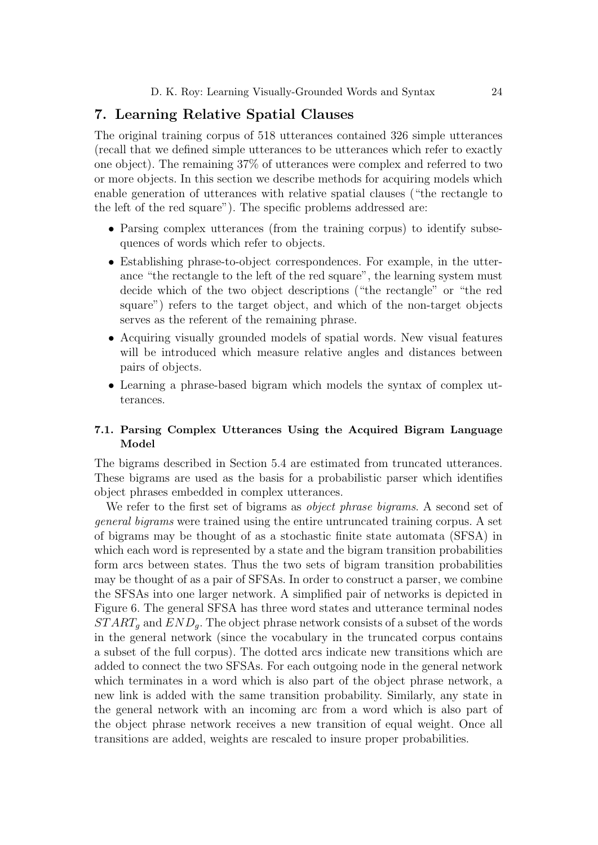## 7. Learning Relative Spatial Clauses

The original training corpus of 518 utterances contained 326 simple utterances (recall that we defined simple utterances to be utterances which refer to exactly one object). The remaining 37% of utterances were complex and referred to two or more objects. In this section we describe methods for acquiring models which enable generation of utterances with relative spatial clauses ("the rectangle to the left of the red square"). The specific problems addressed are:

- Parsing complex utterances (from the training corpus) to identify subsequences of words which refer to objects.
- Establishing phrase-to-object correspondences. For example, in the utterance "the rectangle to the left of the red square", the learning system must decide which of the two object descriptions ("the rectangle" or "the red square") refers to the target object, and which of the non-target objects serves as the referent of the remaining phrase.
- Acquiring visually grounded models of spatial words. New visual features will be introduced which measure relative angles and distances between pairs of objects.
- Learning a phrase-based bigram which models the syntax of complex utterances.

## 7.1. Parsing Complex Utterances Using the Acquired Bigram Language Model

The bigrams described in Section 5.4 are estimated from truncated utterances. These bigrams are used as the basis for a probabilistic parser which identifies object phrases embedded in complex utterances.

We refer to the first set of bigrams as *object phrase bigrams*. A second set of general bigrams were trained using the entire untruncated training corpus. A set of bigrams may be thought of as a stochastic finite state automata (SFSA) in which each word is represented by a state and the bigram transition probabilities form arcs between states. Thus the two sets of bigram transition probabilities may be thought of as a pair of SFSAs. In order to construct a parser, we combine the SFSAs into one larger network. A simplified pair of networks is depicted in Figure 6. The general SFSA has three word states and utterance terminal nodes  $START<sub>g</sub>$  and  $END<sub>g</sub>$ . The object phrase network consists of a subset of the words in the general network (since the vocabulary in the truncated corpus contains a subset of the full corpus). The dotted arcs indicate new transitions which are added to connect the two SFSAs. For each outgoing node in the general network which terminates in a word which is also part of the object phrase network, a new link is added with the same transition probability. Similarly, any state in the general network with an incoming arc from a word which is also part of the object phrase network receives a new transition of equal weight. Once all transitions are added, weights are rescaled to insure proper probabilities.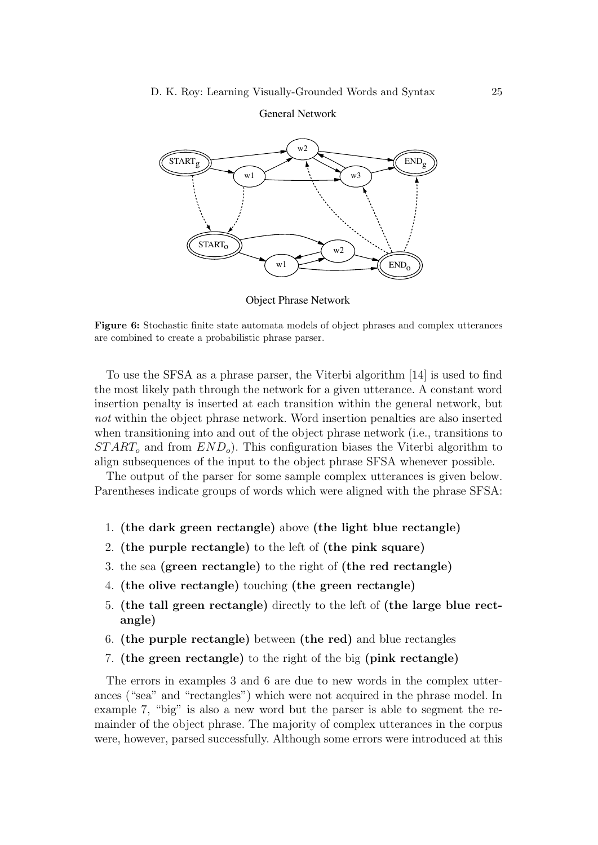

#### General Network

Object Phrase Network

Figure 6: Stochastic finite state automata models of object phrases and complex utterances are combined to create a probabilistic phrase parser.

To use the SFSA as a phrase parser, the Viterbi algorithm [14] is used to find the most likely path through the network for a given utterance. A constant word insertion penalty is inserted at each transition within the general network, but not within the object phrase network. Word insertion penalties are also inserted when transitioning into and out of the object phrase network (i.e., transitions to  $START<sub>o</sub>$  and from  $END<sub>o</sub>$ ). This configuration biases the Viterbi algorithm to align subsequences of the input to the object phrase SFSA whenever possible.

The output of the parser for some sample complex utterances is given below. Parentheses indicate groups of words which were aligned with the phrase SFSA:

- 1. (the dark green rectangle) above (the light blue rectangle)
- 2. (the purple rectangle) to the left of (the pink square)
- 3. the sea (green rectangle) to the right of (the red rectangle)
- 4. (the olive rectangle) touching (the green rectangle)
- 5. (the tall green rectangle) directly to the left of (the large blue rectangle)
- 6. (the purple rectangle) between (the red) and blue rectangles
- 7. (the green rectangle) to the right of the big (pink rectangle)

The errors in examples 3 and 6 are due to new words in the complex utterances ("sea" and "rectangles") which were not acquired in the phrase model. In example 7, "big" is also a new word but the parser is able to segment the remainder of the object phrase. The majority of complex utterances in the corpus were, however, parsed successfully. Although some errors were introduced at this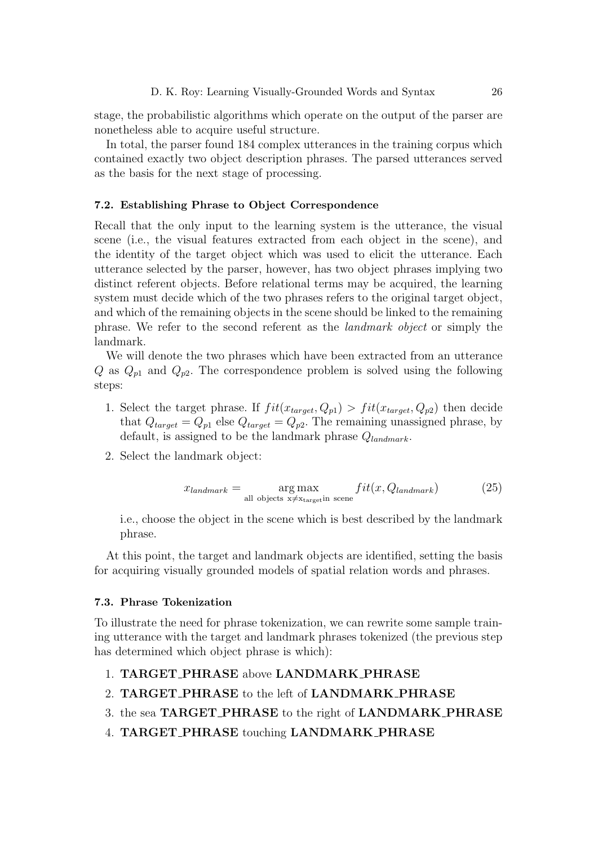stage, the probabilistic algorithms which operate on the output of the parser are nonetheless able to acquire useful structure.

In total, the parser found 184 complex utterances in the training corpus which contained exactly two object description phrases. The parsed utterances served as the basis for the next stage of processing.

#### 7.2. Establishing Phrase to Object Correspondence

Recall that the only input to the learning system is the utterance, the visual scene (i.e., the visual features extracted from each object in the scene), and the identity of the target object which was used to elicit the utterance. Each utterance selected by the parser, however, has two object phrases implying two distinct referent objects. Before relational terms may be acquired, the learning system must decide which of the two phrases refers to the original target object, and which of the remaining objects in the scene should be linked to the remaining phrase. We refer to the second referent as the landmark object or simply the landmark.

We will denote the two phrases which have been extracted from an utterance Q as  $Q_{p1}$  and  $Q_{p2}$ . The correspondence problem is solved using the following steps:

- 1. Select the target phrase. If  $fit(x_{target}, Q_{p1}) > fit(x_{target}, Q_{p2})$  then decide that  $Q_{target} = Q_{p1}$  else  $Q_{target} = Q_{p2}$ . The remaining unassigned phrase, by default, is assigned to be the landmark phrase  $Q_{\text{landmark}}$ .
- 2. Select the landmark object:

$$
x_{\text{landmark}} = \underset{\text{all objects } \mathbf{x} \neq \mathbf{x}_{\text{target}}}{\arg \max} \text{fit}(x, Q_{\text{landmark}}) \tag{25}
$$

i.e., choose the object in the scene which is best described by the landmark phrase.

At this point, the target and landmark objects are identified, setting the basis for acquiring visually grounded models of spatial relation words and phrases.

#### 7.3. Phrase Tokenization

To illustrate the need for phrase tokenization, we can rewrite some sample training utterance with the target and landmark phrases tokenized (the previous step has determined which object phrase is which):

- 1. TARGET PHRASE above LANDMARK PHRASE
- 2. TARGET PHRASE to the left of LANDMARK PHRASE
- 3. the sea TARGET PHRASE to the right of LANDMARK PHRASE
- 4. TARGET PHRASE touching LANDMARK PHRASE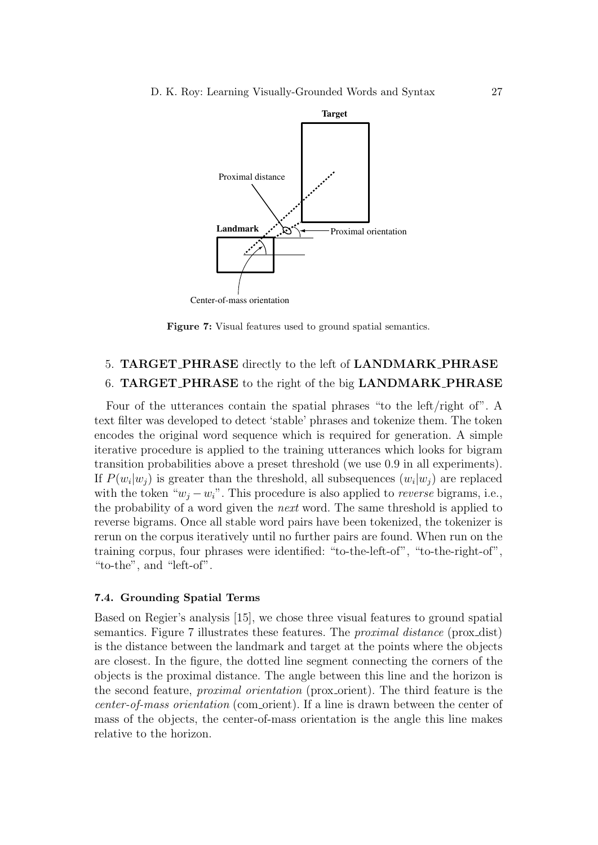

Figure 7: Visual features used to ground spatial semantics.

# 5. TARGET PHRASE directly to the left of LANDMARK PHRASE

## 6. TARGET PHRASE to the right of the big LANDMARK PHRASE

Four of the utterances contain the spatial phrases "to the left/right of". A text filter was developed to detect 'stable' phrases and tokenize them. The token encodes the original word sequence which is required for generation. A simple iterative procedure is applied to the training utterances which looks for bigram transition probabilities above a preset threshold (we use 0.9 in all experiments). If  $P(w_i|w_j)$  is greater than the threshold, all subsequences  $(w_i|w_j)$  are replaced with the token " $w_i - w_i$ ". This procedure is also applied to *reverse* bigrams, i.e., the probability of a word given the next word. The same threshold is applied to reverse bigrams. Once all stable word pairs have been tokenized, the tokenizer is rerun on the corpus iteratively until no further pairs are found. When run on the training corpus, four phrases were identified: "to-the-left-of", "to-the-right-of", "to-the", and "left-of".

#### 7.4. Grounding Spatial Terms

Based on Regier's analysis [15], we chose three visual features to ground spatial semantics. Figure 7 illustrates these features. The *proximal distance* (prox-dist) is the distance between the landmark and target at the points where the objects are closest. In the figure, the dotted line segment connecting the corners of the objects is the proximal distance. The angle between this line and the horizon is the second feature, proximal orientation (prox orient). The third feature is the center-of-mass orientation (com orient). If a line is drawn between the center of mass of the objects, the center-of-mass orientation is the angle this line makes relative to the horizon.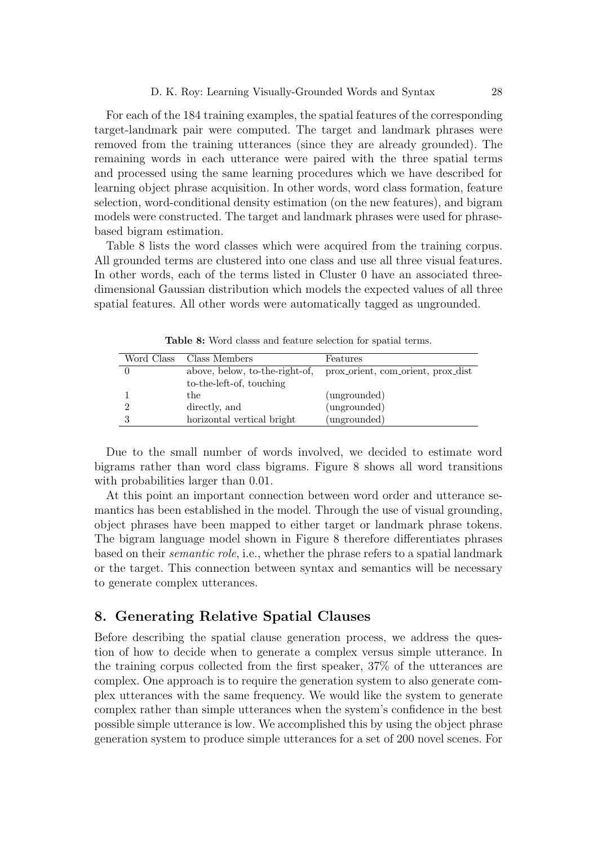For each of the 184 training examples, the spatial features of the corresponding target-landmark pair were computed. The target and landmark phrases were removed from the training utterances (since they are already grounded). The remaining words in each utterance were paired with the three spatial terms and processed using the same learning procedures which we have described for learning object phrase acquisition. In other words, word class formation, feature selection, word-conditional density estimation (on the new features), and bigram models were constructed. The target and landmark phrases were used for phrasebased bigram estimation.

Table 8 lists the word classes which were acquired from the training corpus. All grounded terms are clustered into one class and use all three visual features. In other words, each of the terms listed in Cluster 0 have an associated threedimensional Gaussian distribution which models the expected values of all three spatial features. All other words were automatically tagged as ungrounded.

| Word Class | Class Members                  | Features                                                                |
|------------|--------------------------------|-------------------------------------------------------------------------|
|            | above, below, to-the-right-of, | prox <sub>orient</sub> , com <sub>orient</sub> , prox <sub>orient</sub> |
|            | to-the-left-of, touching       |                                                                         |
|            | the                            | (ungrounded)                                                            |
|            | directly, and                  | (ungrounded)                                                            |
|            | horizontal vertical bright     | (ungrounded)                                                            |

Table 8: Word classs and feature selection for spatial terms.

Due to the small number of words involved, we decided to estimate word bigrams rather than word class bigrams. Figure 8 shows all word transitions with probabilities larger than  $0.01$ .

At this point an important connection between word order and utterance semantics has been established in the model. Through the use of visual grounding, object phrases have been mapped to either target or landmark phrase tokens. The bigram language model shown in Figure 8 therefore differentiates phrases based on their semantic role, i.e., whether the phrase refers to a spatial landmark or the target. This connection between syntax and semantics will be necessary to generate complex utterances.

## 8. Generating Relative Spatial Clauses

Before describing the spatial clause generation process, we address the question of how to decide when to generate a complex versus simple utterance. In the training corpus collected from the first speaker, 37% of the utterances are complex. One approach is to require the generation system to also generate complex utterances with the same frequency. We would like the system to generate complex rather than simple utterances when the system's confidence in the best possible simple utterance is low. We accomplished this by using the object phrase generation system to produce simple utterances for a set of 200 novel scenes. For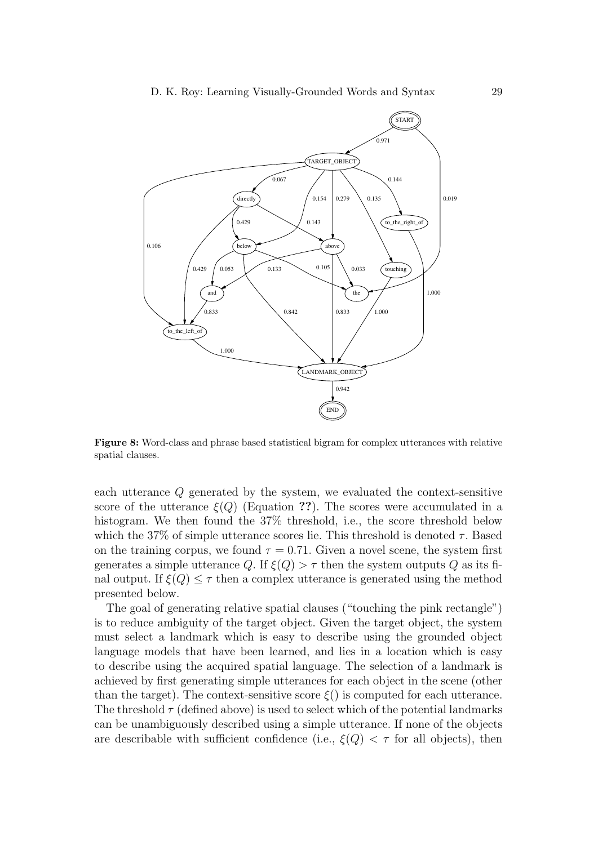

Figure 8: Word-class and phrase based statistical bigram for complex utterances with relative spatial clauses.

each utterance Q generated by the system, we evaluated the context-sensitive score of the utterance  $\xi(Q)$  (Equation ??). The scores were accumulated in a histogram. We then found the 37% threshold, i.e., the score threshold below which the 37% of simple utterance scores lie. This threshold is denoted  $\tau$ . Based on the training corpus, we found  $\tau = 0.71$ . Given a novel scene, the system first generates a simple utterance Q. If  $\xi(Q) > \tau$  then the system outputs Q as its final output. If  $\xi(Q) \leq \tau$  then a complex utterance is generated using the method presented below.

The goal of generating relative spatial clauses ("touching the pink rectangle") is to reduce ambiguity of the target object. Given the target object, the system must select a landmark which is easy to describe using the grounded object language models that have been learned, and lies in a location which is easy to describe using the acquired spatial language. The selection of a landmark is achieved by first generating simple utterances for each object in the scene (other than the target). The context-sensitive score  $\xi$  is computed for each utterance. The threshold  $\tau$  (defined above) is used to select which of the potential landmarks can be unambiguously described using a simple utterance. If none of the objects are describable with sufficient confidence (i.e.,  $\xi(Q) < \tau$  for all objects), then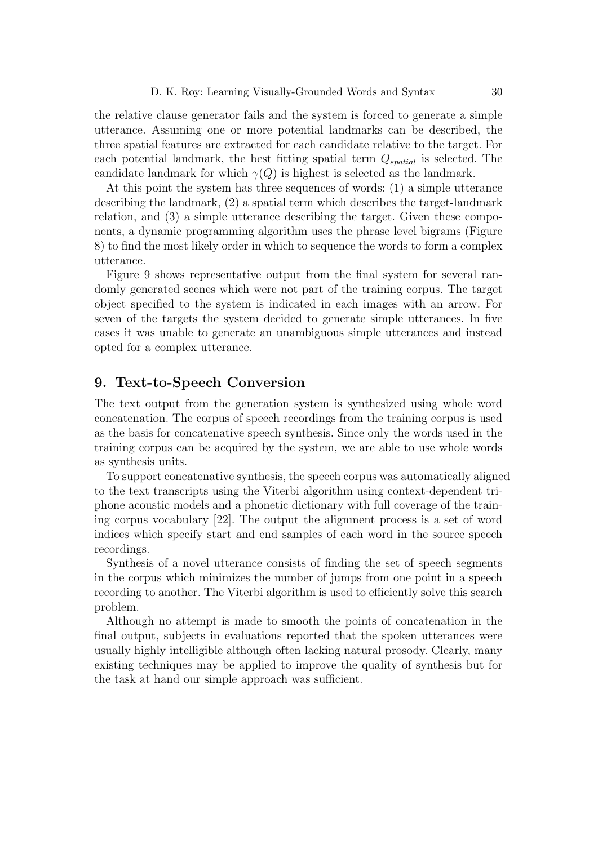the relative clause generator fails and the system is forced to generate a simple utterance. Assuming one or more potential landmarks can be described, the three spatial features are extracted for each candidate relative to the target. For each potential landmark, the best fitting spatial term  $Q_{spatial}$  is selected. The candidate landmark for which  $\gamma(Q)$  is highest is selected as the landmark.

At this point the system has three sequences of words: (1) a simple utterance describing the landmark, (2) a spatial term which describes the target-landmark relation, and (3) a simple utterance describing the target. Given these components, a dynamic programming algorithm uses the phrase level bigrams (Figure 8) to find the most likely order in which to sequence the words to form a complex utterance.

Figure 9 shows representative output from the final system for several randomly generated scenes which were not part of the training corpus. The target object specified to the system is indicated in each images with an arrow. For seven of the targets the system decided to generate simple utterances. In five cases it was unable to generate an unambiguous simple utterances and instead opted for a complex utterance.

## 9. Text-to-Speech Conversion

The text output from the generation system is synthesized using whole word concatenation. The corpus of speech recordings from the training corpus is used as the basis for concatenative speech synthesis. Since only the words used in the training corpus can be acquired by the system, we are able to use whole words as synthesis units.

To support concatenative synthesis, the speech corpus was automatically aligned to the text transcripts using the Viterbi algorithm using context-dependent triphone acoustic models and a phonetic dictionary with full coverage of the training corpus vocabulary [22]. The output the alignment process is a set of word indices which specify start and end samples of each word in the source speech recordings.

Synthesis of a novel utterance consists of finding the set of speech segments in the corpus which minimizes the number of jumps from one point in a speech recording to another. The Viterbi algorithm is used to efficiently solve this search problem.

Although no attempt is made to smooth the points of concatenation in the final output, subjects in evaluations reported that the spoken utterances were usually highly intelligible although often lacking natural prosody. Clearly, many existing techniques may be applied to improve the quality of synthesis but for the task at hand our simple approach was sufficient.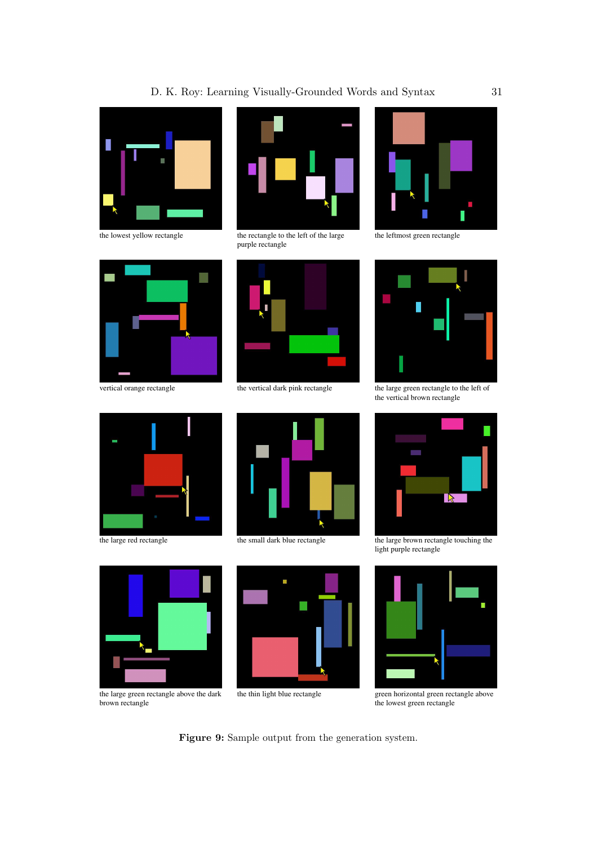



the lowest yellow rectangle the rectangle to the left of the large purple rectangle











the vertical brown rectangle









green horizontal green rectangle above the lowest green rectangle

the large green rectangle above the dark brown rectangle



vertical orange rectangle the vertical dark pink rectangle the large green rectangle to the left of



the large red rectangle the small dark blue rectangle the large brown rectangle touching the light purple rectangle

Figure 9: Sample output from the generation system.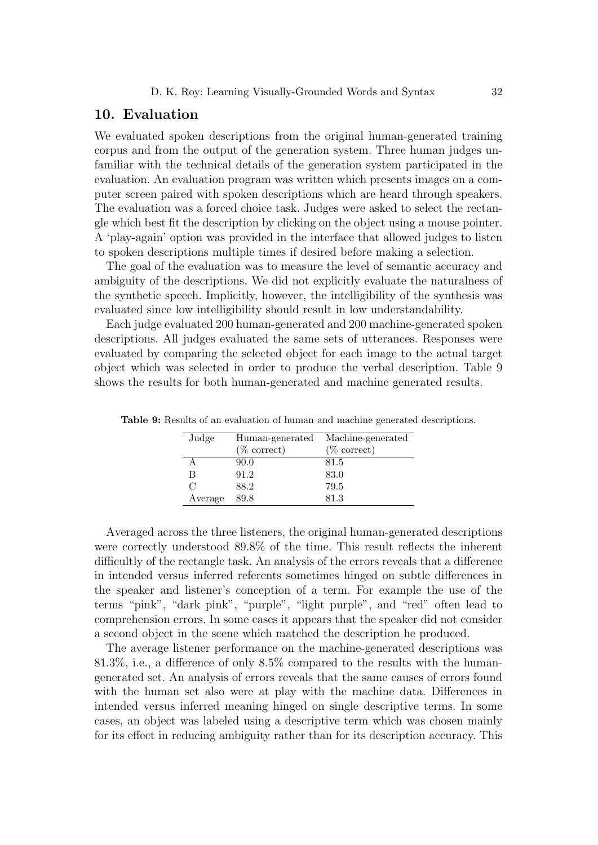## 10. Evaluation

We evaluated spoken descriptions from the original human-generated training corpus and from the output of the generation system. Three human judges unfamiliar with the technical details of the generation system participated in the evaluation. An evaluation program was written which presents images on a computer screen paired with spoken descriptions which are heard through speakers. The evaluation was a forced choice task. Judges were asked to select the rectangle which best fit the description by clicking on the object using a mouse pointer. A 'play-again' option was provided in the interface that allowed judges to listen to spoken descriptions multiple times if desired before making a selection.

The goal of the evaluation was to measure the level of semantic accuracy and ambiguity of the descriptions. We did not explicitly evaluate the naturalness of the synthetic speech. Implicitly, however, the intelligibility of the synthesis was evaluated since low intelligibility should result in low understandability.

Each judge evaluated 200 human-generated and 200 machine-generated spoken descriptions. All judges evaluated the same sets of utterances. Responses were evaluated by comparing the selected object for each image to the actual target object which was selected in order to produce the verbal description. Table 9 shows the results for both human-generated and machine generated results.

| Judge            | Human-generated | Machine-generated |
|------------------|-----------------|-------------------|
|                  | $(\%$ correct)  | $(\%$ correct)    |
|                  | 90.0            | 81.5              |
| В                | 91.2            | 83.0              |
| $\mathfrak{c}$ : | 88.2            | 79.5              |
| Average          | 89.8            | 81.3              |

Table 9: Results of an evaluation of human and machine generated descriptions.

Averaged across the three listeners, the original human-generated descriptions were correctly understood 89.8% of the time. This result reflects the inherent difficultly of the rectangle task. An analysis of the errors reveals that a difference in intended versus inferred referents sometimes hinged on subtle differences in the speaker and listener's conception of a term. For example the use of the terms "pink", "dark pink", "purple", "light purple", and "red" often lead to comprehension errors. In some cases it appears that the speaker did not consider a second object in the scene which matched the description he produced.

The average listener performance on the machine-generated descriptions was 81.3%, i.e., a difference of only 8.5% compared to the results with the humangenerated set. An analysis of errors reveals that the same causes of errors found with the human set also were at play with the machine data. Differences in intended versus inferred meaning hinged on single descriptive terms. In some cases, an object was labeled using a descriptive term which was chosen mainly for its effect in reducing ambiguity rather than for its description accuracy. This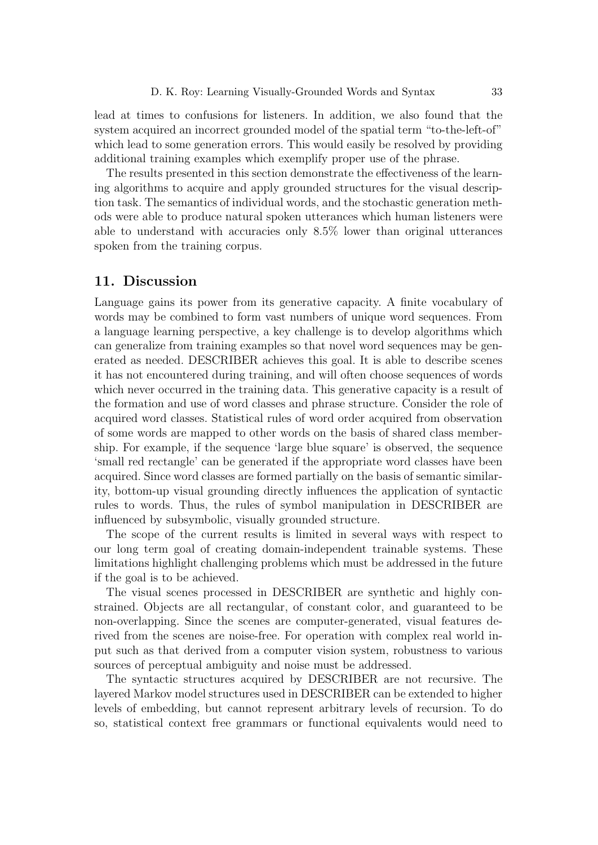lead at times to confusions for listeners. In addition, we also found that the system acquired an incorrect grounded model of the spatial term "to-the-left-of" which lead to some generation errors. This would easily be resolved by providing additional training examples which exemplify proper use of the phrase.

The results presented in this section demonstrate the effectiveness of the learning algorithms to acquire and apply grounded structures for the visual description task. The semantics of individual words, and the stochastic generation methods were able to produce natural spoken utterances which human listeners were able to understand with accuracies only 8.5% lower than original utterances spoken from the training corpus.

## 11. Discussion

Language gains its power from its generative capacity. A finite vocabulary of words may be combined to form vast numbers of unique word sequences. From a language learning perspective, a key challenge is to develop algorithms which can generalize from training examples so that novel word sequences may be generated as needed. DESCRIBER achieves this goal. It is able to describe scenes it has not encountered during training, and will often choose sequences of words which never occurred in the training data. This generative capacity is a result of the formation and use of word classes and phrase structure. Consider the role of acquired word classes. Statistical rules of word order acquired from observation of some words are mapped to other words on the basis of shared class membership. For example, if the sequence 'large blue square' is observed, the sequence 'small red rectangle' can be generated if the appropriate word classes have been acquired. Since word classes are formed partially on the basis of semantic similarity, bottom-up visual grounding directly influences the application of syntactic rules to words. Thus, the rules of symbol manipulation in DESCRIBER are influenced by subsymbolic, visually grounded structure.

The scope of the current results is limited in several ways with respect to our long term goal of creating domain-independent trainable systems. These limitations highlight challenging problems which must be addressed in the future if the goal is to be achieved.

The visual scenes processed in DESCRIBER are synthetic and highly constrained. Objects are all rectangular, of constant color, and guaranteed to be non-overlapping. Since the scenes are computer-generated, visual features derived from the scenes are noise-free. For operation with complex real world input such as that derived from a computer vision system, robustness to various sources of perceptual ambiguity and noise must be addressed.

The syntactic structures acquired by DESCRIBER are not recursive. The layered Markov model structures used in DESCRIBER can be extended to higher levels of embedding, but cannot represent arbitrary levels of recursion. To do so, statistical context free grammars or functional equivalents would need to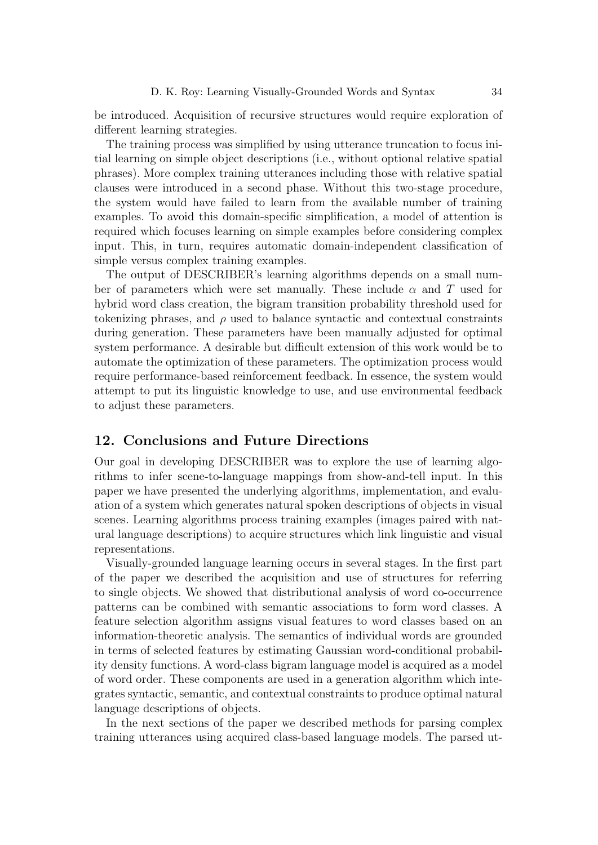be introduced. Acquisition of recursive structures would require exploration of different learning strategies.

The training process was simplified by using utterance truncation to focus initial learning on simple object descriptions (i.e., without optional relative spatial phrases). More complex training utterances including those with relative spatial clauses were introduced in a second phase. Without this two-stage procedure, the system would have failed to learn from the available number of training examples. To avoid this domain-specific simplification, a model of attention is required which focuses learning on simple examples before considering complex input. This, in turn, requires automatic domain-independent classification of simple versus complex training examples.

The output of DESCRIBER's learning algorithms depends on a small number of parameters which were set manually. These include  $\alpha$  and T used for hybrid word class creation, the bigram transition probability threshold used for tokenizing phrases, and  $\rho$  used to balance syntactic and contextual constraints during generation. These parameters have been manually adjusted for optimal system performance. A desirable but difficult extension of this work would be to automate the optimization of these parameters. The optimization process would require performance-based reinforcement feedback. In essence, the system would attempt to put its linguistic knowledge to use, and use environmental feedback to adjust these parameters.

## 12. Conclusions and Future Directions

Our goal in developing DESCRIBER was to explore the use of learning algorithms to infer scene-to-language mappings from show-and-tell input. In this paper we have presented the underlying algorithms, implementation, and evaluation of a system which generates natural spoken descriptions of objects in visual scenes. Learning algorithms process training examples (images paired with natural language descriptions) to acquire structures which link linguistic and visual representations.

Visually-grounded language learning occurs in several stages. In the first part of the paper we described the acquisition and use of structures for referring to single objects. We showed that distributional analysis of word co-occurrence patterns can be combined with semantic associations to form word classes. A feature selection algorithm assigns visual features to word classes based on an information-theoretic analysis. The semantics of individual words are grounded in terms of selected features by estimating Gaussian word-conditional probability density functions. A word-class bigram language model is acquired as a model of word order. These components are used in a generation algorithm which integrates syntactic, semantic, and contextual constraints to produce optimal natural language descriptions of objects.

In the next sections of the paper we described methods for parsing complex training utterances using acquired class-based language models. The parsed ut-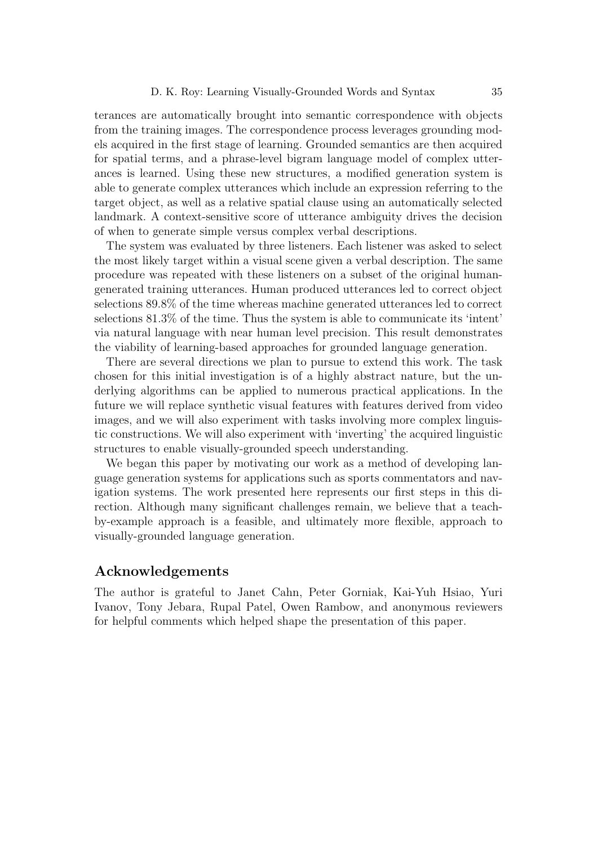terances are automatically brought into semantic correspondence with objects from the training images. The correspondence process leverages grounding models acquired in the first stage of learning. Grounded semantics are then acquired for spatial terms, and a phrase-level bigram language model of complex utterances is learned. Using these new structures, a modified generation system is able to generate complex utterances which include an expression referring to the target object, as well as a relative spatial clause using an automatically selected landmark. A context-sensitive score of utterance ambiguity drives the decision of when to generate simple versus complex verbal descriptions.

The system was evaluated by three listeners. Each listener was asked to select the most likely target within a visual scene given a verbal description. The same procedure was repeated with these listeners on a subset of the original humangenerated training utterances. Human produced utterances led to correct object selections 89.8% of the time whereas machine generated utterances led to correct selections 81.3% of the time. Thus the system is able to communicate its 'intent' via natural language with near human level precision. This result demonstrates the viability of learning-based approaches for grounded language generation.

There are several directions we plan to pursue to extend this work. The task chosen for this initial investigation is of a highly abstract nature, but the underlying algorithms can be applied to numerous practical applications. In the future we will replace synthetic visual features with features derived from video images, and we will also experiment with tasks involving more complex linguistic constructions. We will also experiment with 'inverting' the acquired linguistic structures to enable visually-grounded speech understanding.

We began this paper by motivating our work as a method of developing language generation systems for applications such as sports commentators and navigation systems. The work presented here represents our first steps in this direction. Although many significant challenges remain, we believe that a teachby-example approach is a feasible, and ultimately more flexible, approach to visually-grounded language generation.

## Acknowledgements

The author is grateful to Janet Cahn, Peter Gorniak, Kai-Yuh Hsiao, Yuri Ivanov, Tony Jebara, Rupal Patel, Owen Rambow, and anonymous reviewers for helpful comments which helped shape the presentation of this paper.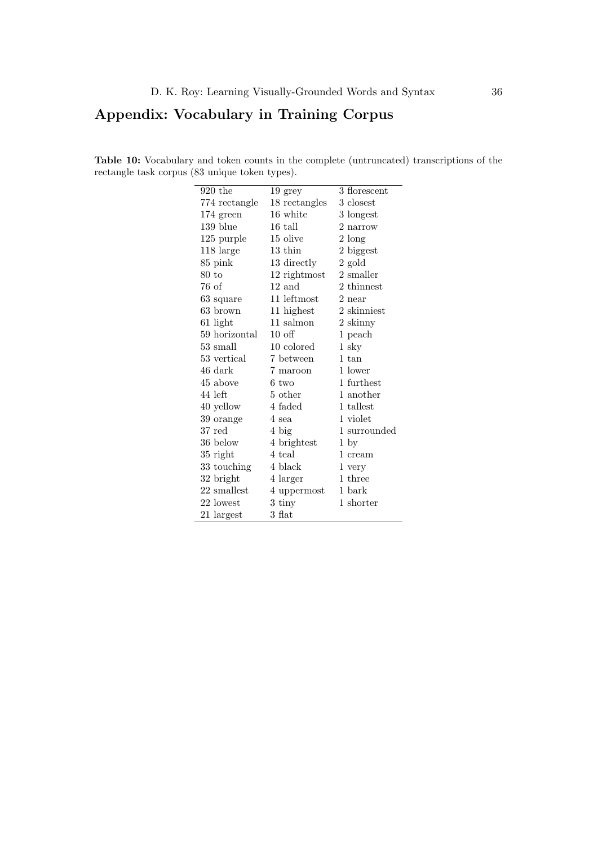## Appendix: Vocabulary in Training Corpus

| $920$ the             | 19 grey       | 3 florescent          |
|-----------------------|---------------|-----------------------|
| 774 rectangle         | 18 rectangles | 3 closest             |
| 174 green             | 16 white      | 3 longest             |
| $139$ blue            | 16 tall       | 2 narrow              |
| 125 purple            | 15 olive      | $2 \text{ long}$      |
| 118 large             | $13$ thin     | 2 biggest             |
| 85 pink               | 13 directly   | 2 gold                |
| $80$ to               | 12 rightmost  | $2 \text{ smaller}$   |
| 76 of                 | $12$ and      | 2 thinnest            |
| 63 square             | 11 leftmost   | 2 near                |
| 63 brown              | 11 highest    | $2 \text{ skinniest}$ |
| 61 light              | 11 salmon     | 2 skinny              |
| 59 horizontal         | $10$ off      | 1 peach               |
| 53 small              | 10 colored    | 1 <sub>sky</sub>      |
| 53 vertical           | 7 between     | 1 tan                 |
| 46 dark               | 7 maroon      | 1 lower               |
| 45 above              | 6 two         | $1$ furthest          |
| 44 left               | 5 other       | 1 another             |
| 40 yellow             | 4 faded       | 1 tallest             |
| 39 orange             | 4 sea         | 1 violet              |
| $37 \text{ red}$      | 4 big         | 1 surrounded          |
| 36 below              | 4 brightest   | $1\;{\rm by}$         |
| 35 right              | 4 teal        | 1 cream               |
| 33 touching           | 4 black       | 1 very                |
| 32 bright             | 4 larger      | 1 three               |
| $22 \text{ smallest}$ | 4 uppermost   | 1 bark                |
| 22 lowest             | 3 tiny        | 1 shorter             |
| 21 largest            | $3$ flat      |                       |

Table 10: Vocabulary and token counts in the complete (untruncated) transcriptions of the rectangle task corpus (83 unique token types).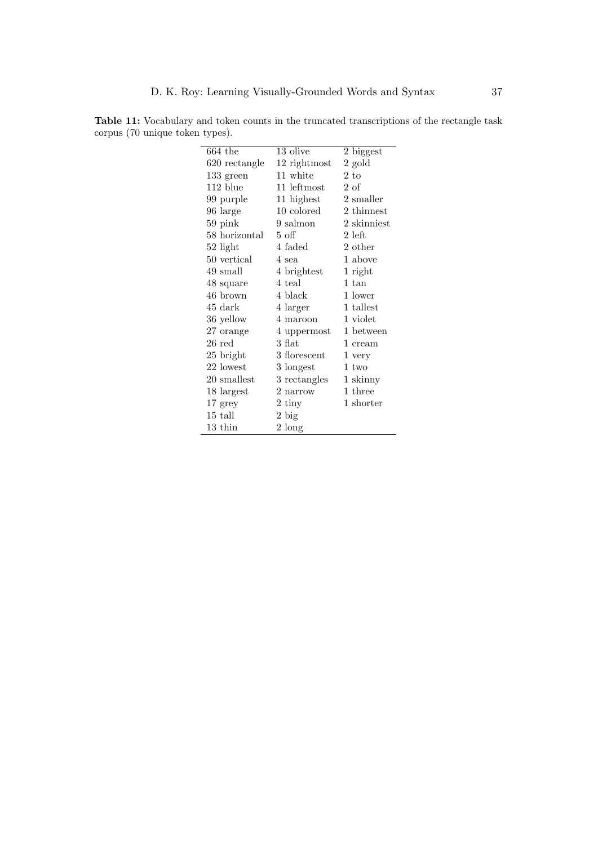| 13 olive            | 2 biggest       |
|---------------------|-----------------|
| 12 rightmost        | 2 gold          |
| 11 white            | $2~\mathrm{to}$ |
| 11 leftmost         | $2 \text{ of }$ |
| 11 highest          | 2 smaller       |
| 10 colored          | 2 thinnest      |
| 9 salmon            | 2 skinniest     |
| $5\,\,\mathrm{off}$ | $2$ left        |
| 4 faded             | 2 other         |
| 4 sea               | 1 above         |
| 4 brightest         | $1$ right       |
| 4 teal              | 1 tan           |
| 4 black             | 1 lower         |
| 4 larger            | 1 tallest       |
| 4 maroon            | 1 violet        |
| 4 uppermost         | 1 between       |
| 3 flat              | 1 cream         |
| 3 florescent        | 1 very          |
| 3 longest           | $1$ two         |
| 3 rectangles        | 1 skinny        |
| 2 narrow            | 1 three         |
| 2 tiny              | 1 shorter       |
| $2 \text{ big}$     |                 |
| $2 \text{ long}$    |                 |
|                     |                 |

Table 11: Vocabulary and token counts in the truncated transcriptions of the rectangle task corpus (70 unique token types).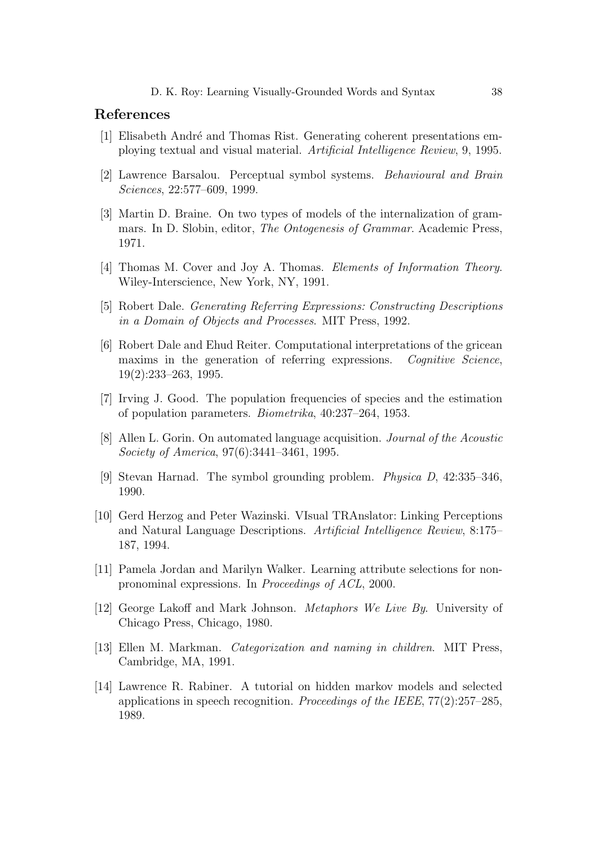## References

- [1] Elisabeth André and Thomas Rist. Generating coherent presentations employing textual and visual material. Artificial Intelligence Review, 9, 1995.
- [2] Lawrence Barsalou. Perceptual symbol systems. Behavioural and Brain Sciences, 22:577–609, 1999.
- [3] Martin D. Braine. On two types of models of the internalization of grammars. In D. Slobin, editor, The Ontogenesis of Grammar. Academic Press, 1971.
- [4] Thomas M. Cover and Joy A. Thomas. Elements of Information Theory. Wiley-Interscience, New York, NY, 1991.
- [5] Robert Dale. Generating Referring Expressions: Constructing Descriptions in a Domain of Objects and Processes. MIT Press, 1992.
- [6] Robert Dale and Ehud Reiter. Computational interpretations of the gricean maxims in the generation of referring expressions. Cognitive Science, 19(2):233–263, 1995.
- [7] Irving J. Good. The population frequencies of species and the estimation of population parameters. Biometrika, 40:237–264, 1953.
- [8] Allen L. Gorin. On automated language acquisition. Journal of the Acoustic Society of America, 97(6):3441–3461, 1995.
- [9] Stevan Harnad. The symbol grounding problem. Physica D, 42:335–346, 1990.
- [10] Gerd Herzog and Peter Wazinski. VIsual TRAnslator: Linking Perceptions and Natural Language Descriptions. Artificial Intelligence Review, 8:175– 187, 1994.
- [11] Pamela Jordan and Marilyn Walker. Learning attribute selections for nonpronominal expressions. In Proceedings of ACL, 2000.
- [12] George Lakoff and Mark Johnson. Metaphors We Live By. University of Chicago Press, Chicago, 1980.
- [13] Ellen M. Markman. Categorization and naming in children. MIT Press, Cambridge, MA, 1991.
- [14] Lawrence R. Rabiner. A tutorial on hidden markov models and selected applications in speech recognition. Proceedings of the IEEE,  $77(2):257-285$ , 1989.